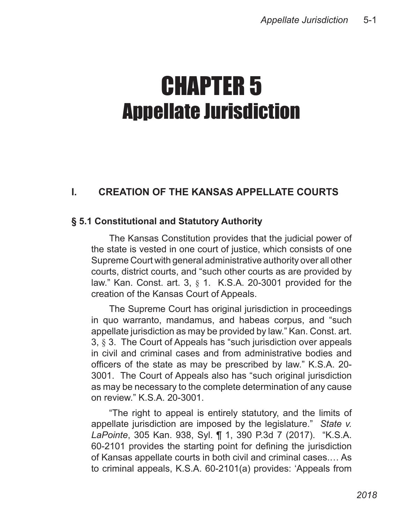# CHAPTER 5 Appellate Jurisdiction

# **I. CREATION OF THE KANSAS APPELLATE COURTS**

#### **§ 5.1 Constitutional and Statutory Authority**

The Kansas Constitution provides that the judicial power of the state is vested in one court of justice, which consists of one Supreme Court with general administrative authority over all other courts, district courts, and "such other courts as are provided by law." Kan. Const. art. 3, § 1. K.S.A. 20-3001 provided for the creation of the Kansas Court of Appeals.

The Supreme Court has original jurisdiction in proceedings in quo warranto, mandamus, and habeas corpus, and "such appellate jurisdiction as may be provided by law." Kan. Const. art. 3, § 3. The Court of Appeals has "such jurisdiction over appeals in civil and criminal cases and from administrative bodies and officers of the state as may be prescribed by law." K.S.A. 20- 3001. The Court of Appeals also has "such original jurisdiction as may be necessary to the complete determination of any cause on review." K.S.A. 20-3001.

"The right to appeal is entirely statutory, and the limits of appellate jurisdiction are imposed by the legislature." *State v. LaPointe*, 305 Kan. 938, Syl. ¶ 1, 390 P.3d 7 (2017). "K.S.A. 60-2101 provides the starting point for defining the jurisdiction of Kansas appellate courts in both civil and criminal cases.… As to criminal appeals, K.S.A. 60-2101(a) provides: 'Appeals from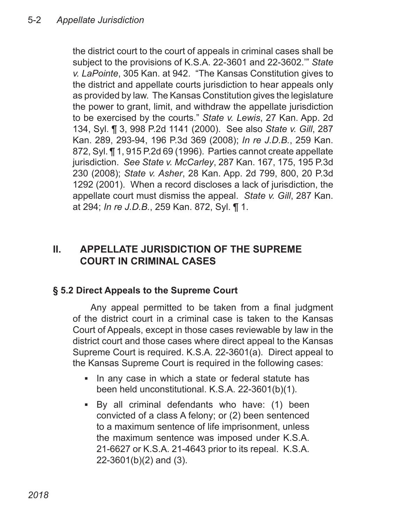the district court to the court of appeals in criminal cases shall be subject to the provisions of K.S.A. 22-3601 and 22-3602.'" *State v. LaPointe*, 305 Kan. at 942. "The Kansas Constitution gives to the district and appellate courts jurisdiction to hear appeals only as provided by law. The Kansas Constitution gives the legislature the power to grant, limit, and withdraw the appellate jurisdiction to be exercised by the courts." *State v. Lewis*, 27 Kan. App. 2d 134, Syl. ¶ 3, 998 P.2d 1141 (2000). See also *State v. Gill*, 287 Kan. 289, 293-94, 196 P.3d 369 (2008); *In re J.D.B.*, 259 Kan. 872, Syl. ¶ 1, 915 P.2d 69 (1996). Parties cannot create appellate jurisdiction. *See State v. McCarley*, 287 Kan. 167, 175, 195 P.3d 230 (2008); *State v. Asher*, 28 Kan. App. 2d 799, 800, 20 P.3d 1292 (2001). When a record discloses a lack of jurisdiction, the appellate court must dismiss the appeal. *State v. Gill*, 287 Kan. at 294; *In re J.D.B.*, 259 Kan. 872, Syl. ¶ 1.

# **II. APPELLATE JURISDICTION OF THE SUPREME COURT IN CRIMINAL CASES**

### **§ 5.2 Direct Appeals to the Supreme Court**

Any appeal permitted to be taken from a final judgment of the district court in a criminal case is taken to the Kansas Court of Appeals, except in those cases reviewable by law in the district court and those cases where direct appeal to the Kansas Supreme Court is required. K.S.A. 22-3601(a). Direct appeal to the Kansas Supreme Court is required in the following cases:

- In any case in which a state or federal statute has been held unconstitutional. K.S.A. 22-3601(b)(1).
- By all criminal defendants who have: (1) been ▪convicted of a class A felony; or (2) been sentenced to a maximum sentence of life imprisonment, unless the maximum sentence was imposed under K.S.A. 21-6627 or K.S.A. 21-4643 prior to its repeal. K.S.A. 22-3601(b)(2) and (3).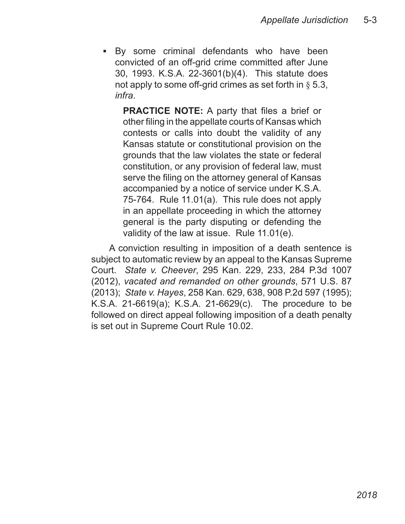By some criminal defendants who have been ▪convicted of an off-grid crime committed after June 30, 1993. K.S.A. 22-3601(b)(4). This statute does not apply to some off-grid crimes as set forth in  $\S 5.3$ , *infra*.

**PRACTICE NOTE:** A party that files a brief or other filing in the appellate courts of Kansas which contests or calls into doubt the validity of any Kansas statute or constitutional provision on the grounds that the law violates the state or federal constitution, or any provision of federal law, must serve the filing on the attorney general of Kansas accompanied by a notice of service under K.S.A. 75-764. Rule 11.01(a). This rule does not apply in an appellate proceeding in which the attorney general is the party disputing or defending the validity of the law at issue. Rule 11.01(e).

A conviction resulting in imposition of a death sentence is subject to automatic review by an appeal to the Kansas Supreme Court. *State v. Cheever*, 295 Kan. 229, 233, 284 P.3d 1007 (2012), *vacated and remanded on other grounds*, 571 U.S. 87 (2013); *State v. Hayes*, 258 Kan. 629, 638, 908 P.2d 597 (1995); K.S.A. 21-6619(a); K.S.A. 21-6629(c). The procedure to be followed on direct appeal following imposition of a death penalty is set out in Supreme Court Rule 10.02.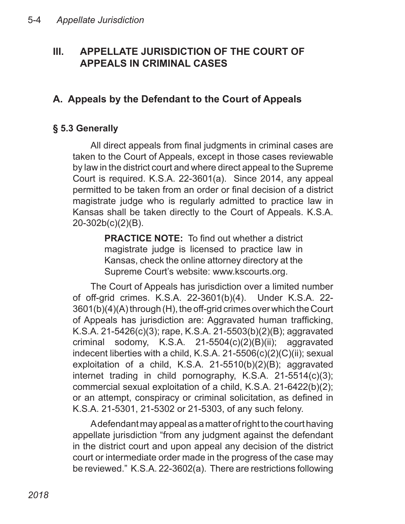# **III. APPELLATE JURISDICTION OF THE COURT OF APPEALS IN CRIMINAL CASES**

# **A. Appeals by the Defendant to the Court of Appeals**

# **§ 5.3 Generally**

All direct appeals from final judgments in criminal cases are taken to the Court of Appeals, except in those cases reviewable by law in the district court and where direct appeal to the Supreme Court is required. K.S.A. 22-3601(a). Since 2014, any appeal permitted to be taken from an order or final decision of a district magistrate judge who is regularly admitted to practice law in Kansas shall be taken directly to the Court of Appeals. K.S.A. 20-302b(c)(2)(B).

> **PRACTICE NOTE:** To find out whether a district magistrate judge is licensed to practice law in Kansas, check the online attorney directory at the Supreme Court's website: www.kscourts.org.

The Court of Appeals has jurisdiction over a limited number of off-grid crimes. K.S.A. 22-3601(b)(4). Under K.S.A. 22- 3601(b)(4)(A) through (H), the off-grid crimes over which the Court of Appeals has jurisdiction are: Aggravated human trafficking, K.S.A. 21-5426(c)(3); rape, K.S.A. 21-5503(b)(2)(B); aggravated criminal sodomy, K.S.A. 21-5504(c)(2)(B)(ii); aggravated indecent liberties with a child, K.S.A. 21-5506(c)(2)(C)(ii); sexual exploitation of a child, K.S.A. 21-5510(b)(2)(B); aggravated internet trading in child pornography, K.S.A. 21-5514(c)(3); commercial sexual exploitation of a child, K.S.A. 21-6422(b)(2); or an attempt, conspiracy or criminal solicitation, as defined in K.S.A. 21-5301, 21-5302 or 21-5303, of any such felony.

A defendant may appeal as a matter of right to the court having appellate jurisdiction "from any judgment against the defendant in the district court and upon appeal any decision of the district court or intermediate order made in the progress of the case may be reviewed." K.S.A. 22-3602(a). There are restrictions following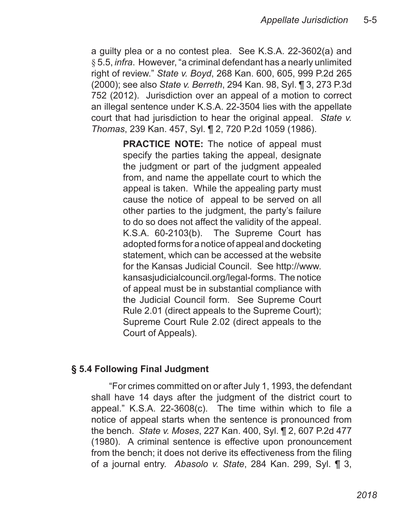a guilty plea or a no contest plea. See K.S.A. 22-3602(a) and § 5.5, *infra*. However, "a criminal defendant has a nearly unlimited right of review." *State v. Boyd*, 268 Kan. 600, 605, 999 P.2d 265 (2000); see also *State v. Berreth*, 294 Kan. 98, Syl. ¶ 3, 273 P.3d 752 (2012). Jurisdiction over an appeal of a motion to correct an illegal sentence under K.S.A. 22-3504 lies with the appellate court that had jurisdiction to hear the original appeal. *State v. Thomas*, 239 Kan. 457, Syl. ¶ 2, 720 P.2d 1059 (1986).

> **PRACTICE NOTE:** The notice of appeal must specify the parties taking the appeal, designate the judgment or part of the judgment appealed from, and name the appellate court to which the appeal is taken. While the appealing party must cause the notice of appeal to be served on all other parties to the judgment, the party's failure to do so does not affect the validity of the appeal. K.S.A. 60-2103(b). The Supreme Court has adopted forms for a notice of appeal and docketing statement, which can be accessed at the website for the Kansas Judicial Council. See http://www. kansasjudicialcouncil.org/legal-forms. The notice of appeal must be in substantial compliance with the Judicial Council form. See Supreme Court Rule 2.01 (direct appeals to the Supreme Court); Supreme Court Rule 2.02 (direct appeals to the Court of Appeals).

### **§ 5.4 Following Final Judgment**

"For crimes committed on or after July 1, 1993, the defendant shall have 14 days after the judgment of the district court to appeal." K.S.A. 22-3608(c). The time within which to file a notice of appeal starts when the sentence is pronounced from the bench. *State v. Moses*, 227 Kan. 400, Syl. ¶ 2, 607 P.2d 477 (1980). A criminal sentence is effective upon pronouncement from the bench; it does not derive its effectiveness from the filing of a journal entry. *Abasolo v. State*, 284 Kan. 299, Syl. ¶ 3,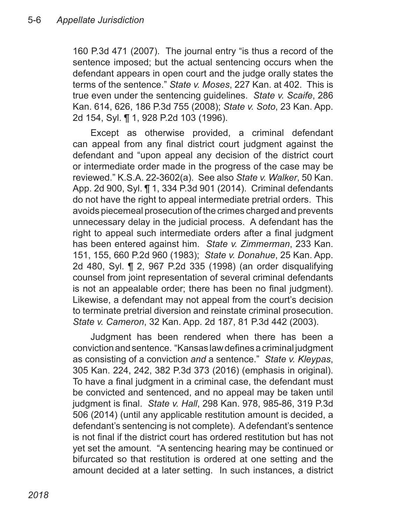160 P.3d 471 (2007). The journal entry "is thus a record of the sentence imposed; but the actual sentencing occurs when the defendant appears in open court and the judge orally states the terms of the sentence." *State v. Moses*, 227 Kan. at 402. This is true even under the sentencing guidelines. *State v. Scaife*, 286 Kan. 614, 626, 186 P.3d 755 (2008); *State v. Soto*, 23 Kan. App. 2d 154, Syl. ¶ 1, 928 P.2d 103 (1996).

Except as otherwise provided, a criminal defendant can appeal from any final district court judgment against the defendant and "upon appeal any decision of the district court or intermediate order made in the progress of the case may be reviewed." K.S.A. 22-3602(a). See also *State v. Walker*, 50 Kan. App. 2d 900, Syl. ¶ 1, 334 P.3d 901 (2014). Criminal defendants do not have the right to appeal intermediate pretrial orders. This avoids piecemeal prosecution of the crimes charged and prevents unnecessary delay in the judicial process. A defendant has the right to appeal such intermediate orders after a final judgment has been entered against him. *State v. Zimmerman*, 233 Kan. 151, 155, 660 P.2d 960 (1983); *State v. Donahue*, 25 Kan. App. 2d 480, Syl. ¶ 2, 967 P.2d 335 (1998) (an order disqualifying counsel from joint representation of several criminal defendants is not an appealable order; there has been no final judgment). Likewise, a defendant may not appeal from the court's decision to terminate pretrial diversion and reinstate criminal prosecution. *State v. Cameron*, 32 Kan. App. 2d 187, 81 P.3d 442 (2003).

Judgment has been rendered when there has been a conviction and sentence. "Kansas law defines a criminal judgment as consisting of a conviction *and* a sentence." *State v. Kleypas*, 305 Kan. 224, 242, 382 P.3d 373 (2016) (emphasis in original). To have a final judgment in a criminal case, the defendant must be convicted and sentenced, and no appeal may be taken until judgment is final. *State v. Hall*, 298 Kan. 978, 985-86, 319 P.3d 506 (2014) (until any applicable restitution amount is decided, a defendant's sentencing is not complete). A defendant's sentence is not final if the district court has ordered restitution but has not yet set the amount. "A sentencing hearing may be continued or bifurcated so that restitution is ordered at one setting and the amount decided at a later setting. In such instances, a district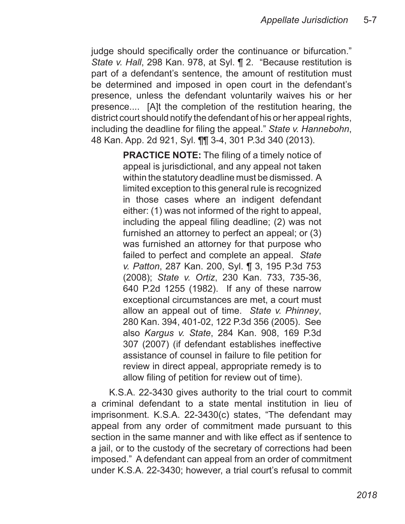judge should specifically order the continuance or bifurcation." *State v. Hall*, 298 Kan. 978, at Syl. ¶ 2. "Because restitution is part of a defendant's sentence, the amount of restitution must be determined and imposed in open court in the defendant's presence, unless the defendant voluntarily waives his or her presence.... [A]t the completion of the restitution hearing, the district court should notify the defendant of his or her appeal rights, including the deadline for filing the appeal." *State v. Hannebohn*, 48 Kan. App. 2d 921, Syl. ¶¶ 3-4, 301 P.3d 340 (2013).

> **PRACTICE NOTE:** The filing of a timely notice of appeal is jurisdictional, and any appeal not taken within the statutory deadline must be dismissed. A limited exception to this general rule is recognized in those cases where an indigent defendant either: (1) was not informed of the right to appeal, including the appeal filing deadline; (2) was not furnished an attorney to perfect an appeal; or (3) was furnished an attorney for that purpose who failed to perfect and complete an appeal. *State v. Patton*, 287 Kan. 200, Syl. ¶ 3, 195 P.3d 753 (2008); *State v. Ortiz*, 230 Kan. 733, 735-36, 640 P.2d 1255 (1982). If any of these narrow exceptional circumstances are met, a court must allow an appeal out of time. *State v. Phinney*, 280 Kan. 394, 401-02, 122 P.3d 356 (2005). See also *Kargus v. State*, 284 Kan. 908, 169 P.3d 307 (2007) (if defendant establishes ineffective assistance of counsel in failure to file petition for review in direct appeal, appropriate remedy is to allow filing of petition for review out of time).

K.S.A. 22-3430 gives authority to the trial court to commit a criminal defendant to a state mental institution in lieu of imprisonment. K.S.A. 22-3430(c) states, "The defendant may appeal from any order of commitment made pursuant to this section in the same manner and with like effect as if sentence to a jail, or to the custody of the secretary of corrections had been imposed." A defendant can appeal from an order of commitment under K.S.A. 22-3430; however, a trial court's refusal to commit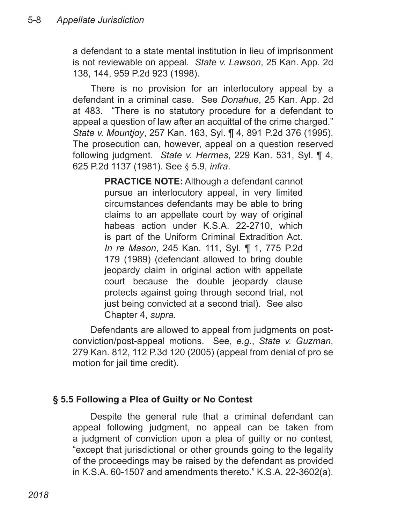a defendant to a state mental institution in lieu of imprisonment is not reviewable on appeal. *State v. Lawson*, 25 Kan. App. 2d 138, 144, 959 P.2d 923 (1998).

There is no provision for an interlocutory appeal by a defendant in a criminal case. See *Donahue*, 25 Kan. App. 2d at 483. "There is no statutory procedure for a defendant to appeal a question of law after an acquittal of the crime charged." *State v. Mountjoy*, 257 Kan. 163, Syl. ¶ 4, 891 P.2d 376 (1995). The prosecution can, however, appeal on a question reserved following judgment. *State v. Hermes*, 229 Kan. 531, Syl. ¶ 4, 625 P.2d 1137 (1981). See § 5.9, *infra*.

> **PRACTICE NOTE:** Although a defendant cannot pursue an interlocutory appeal, in very limited circumstances defendants may be able to bring claims to an appellate court by way of original habeas action under K.S.A. 22-2710, which is part of the Uniform Criminal Extradition Act. *In re Mason*, 245 Kan. 111, Syl. ¶ 1, 775 P.2d 179 (1989) (defendant allowed to bring double jeopardy claim in original action with appellate court because the double jeopardy clause protects against going through second trial, not just being convicted at a second trial). See also Chapter 4, *supra*.

Defendants are allowed to appeal from judgments on postconviction/post-appeal motions. See, *e.g.*, *State v. Guzman*, 279 Kan. 812, 112 P.3d 120 (2005) (appeal from denial of pro se motion for jail time credit).

#### **§ 5.5 Following a Plea of Guilty or No Contest**

Despite the general rule that a criminal defendant can appeal following judgment, no appeal can be taken from a judgment of conviction upon a plea of guilty or no contest, "except that jurisdictional or other grounds going to the legality of the proceedings may be raised by the defendant as provided in K.S.A. 60-1507 and amendments thereto." K.S.A. 22-3602(a).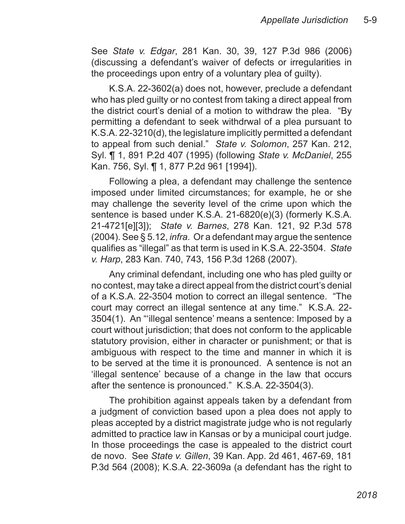See *State v. Edgar*, 281 Kan. 30, 39, 127 P.3d 986 (2006) (discussing a defendant's waiver of defects or irregularities in the proceedings upon entry of a voluntary plea of guilty).

K.S.A. 22-3602(a) does not, however, preclude a defendant who has pled guilty or no contest from taking a direct appeal from the district court's denial of a motion to withdraw the plea. "By permitting a defendant to seek withdrwal of a plea pursuant to K.S.A. 22-3210(d), the legislature implicitly permitted a defendant to appeal from such denial." *State v. Solomon*, 257 Kan. 212, Syl. ¶ 1, 891 P.2d 407 (1995) (following *State v. McDaniel*, 255 Kan. 756, Syl. ¶ 1, 877 P.2d 961 [1994]).

Following a plea, a defendant may challenge the sentence imposed under limited circumstances; for example, he or she may challenge the severity level of the crime upon which the sentence is based under K.S.A. 21-6820(e)(3) (formerly K.S.A. 21-4721[e][3]); *State v. Barnes*, 278 Kan. 121, 92 P.3d 578 (2004). See § 5.12, *infra*. Or a defendant may argue the sentence qualifies as "illegal" as that term is used in K.S.A. 22-3504. *State v. Harp*, 283 Kan. 740, 743, 156 P.3d 1268 (2007).

Any criminal defendant, including one who has pled guilty or no contest, may take a direct appeal from the district court's denial of a K.S.A. 22-3504 motion to correct an illegal sentence. "The court may correct an illegal sentence at any time." K.S.A. 22- 3504(1). An "'illegal sentence' means a sentence: Imposed by a court without jurisdiction; that does not conform to the applicable statutory provision, either in character or punishment; or that is ambiguous with respect to the time and manner in which it is to be served at the time it is pronounced. A sentence is not an 'illegal sentence' because of a change in the law that occurs after the sentence is pronounced." K.S.A. 22-3504(3).

The prohibition against appeals taken by a defendant from a judgment of conviction based upon a plea does not apply to pleas accepted by a district magistrate judge who is not regularly admitted to practice law in Kansas or by a municipal court judge. In those proceedings the case is appealed to the district court de novo. See *State v. Gillen*, 39 Kan. App. 2d 461, 467-69, 181 P.3d 564 (2008); K.S.A. 22-3609a (a defendant has the right to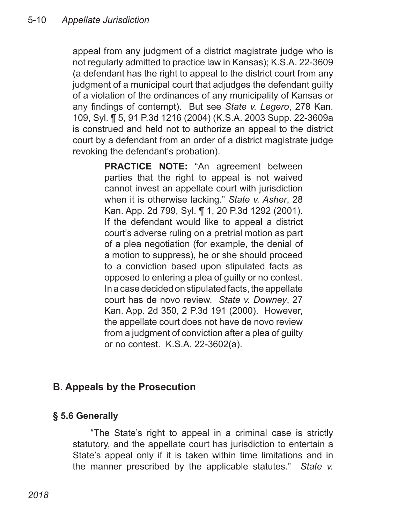appeal from any judgment of a district magistrate judge who is not regularly admitted to practice law in Kansas); K.S.A. 22-3609 (a defendant has the right to appeal to the district court from any judgment of a municipal court that adjudges the defendant guilty of a violation of the ordinances of any municipality of Kansas or any findings of contempt). But see *State v. Legero*, 278 Kan. 109, Syl. ¶ 5, 91 P.3d 1216 (2004) (K.S.A. 2003 Supp. 22-3609a is construed and held not to authorize an appeal to the district court by a defendant from an order of a district magistrate judge revoking the defendant's probation).

> **PRACTICE NOTE:** "An agreement between parties that the right to appeal is not waived cannot invest an appellate court with jurisdiction when it is otherwise lacking." *State v. Asher*, 28 Kan. App. 2d 799, Syl. ¶ 1, 20 P.3d 1292 (2001). If the defendant would like to appeal a district court's adverse ruling on a pretrial motion as part of a plea negotiation (for example, the denial of a motion to suppress), he or she should proceed to a conviction based upon stipulated facts as opposed to entering a plea of guilty or no contest. In a case decided on stipulated facts, the appellate court has de novo review. *State v. Downey*, 27 Kan. App. 2d 350, 2 P.3d 191 (2000). However, the appellate court does not have de novo review from a judgment of conviction after a plea of guilty or no contest. K.S.A. 22-3602(a).

# **B. Appeals by the Prosecution**

### **§ 5.6 Generally**

"The State's right to appeal in a criminal case is strictly statutory, and the appellate court has jurisdiction to entertain a State's appeal only if it is taken within time limitations and in the manner prescribed by the applicable statutes." *State v.*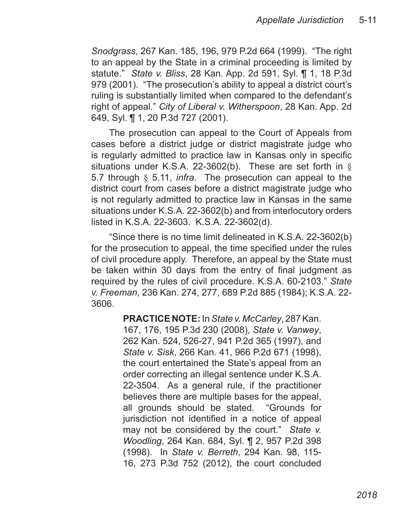*Snodgrass*, 267 Kan. 185, 196, 979 P.2d 664 (1999). "The right to an appeal by the State in a criminal proceeding is limited by statute." *State v. Bliss*, 28 Kan. App. 2d 591, Syl. ¶ 1, 18 P.3d 979 (2001). "The prosecution's ability to appeal a district court's ruling is substantially limited when compared to the defendant's right of appeal." *City of Liberal v. Witherspoon*, 28 Kan. App. 2d 649, Syl. ¶ 1, 20 P.3d 727 (2001).

The prosecution can appeal to the Court of Appeals from cases before a district judge or district magistrate judge who is regularly admitted to practice law in Kansas only in specific situations under K.S.A. 22-3602(b). These are set forth in § 5.7 through § 5.11, *infra*. The prosecution can appeal to the district court from cases before a district magistrate judge who is not regularly admitted to practice law in Kansas in the same situations under K.S.A. 22-3602(b) and from interlocutory orders listed in K.S.A. 22-3603. K.S.A. 22-3602(d).

"Since there is no time limit delineated in K.S.A. 22-3602(b) for the prosecution to appeal, the time specified under the rules of civil procedure apply. Therefore, an appeal by the State must be taken within 30 days from the entry of final judgment as required by the rules of civil procedure. K.S.A. 60-2103." *State v. Freeman*, 236 Kan. 274, 277, 689 P.2d 885 (1984); K.S.A. 22- 3606.

> **PRACTICE NOTE:** In *State v. McCarley*, 287 Kan. 167, 176, 195 P.3d 230 (2008), *State v. Vanwey*, 262 Kan. 524, 526-27, 941 P.2d 365 (1997), and *State v. Sisk*, 266 Kan. 41, 966 P.2d 671 (1998), the court entertained the State's appeal from an order correcting an illegal sentence under K.S.A. 22-3504. As a general rule, if the practitioner believes there are multiple bases for the appeal, all grounds should be stated. "Grounds for jurisdiction not identified in a notice of appeal may not be considered by the court." *State v. Woodling*, 264 Kan. 684, Syl. ¶ 2, 957 P.2d 398 (1998). In *State v. Berreth*, 294 Kan. 98, 115- 16, 273 P.3d 752 (2012), the court concluded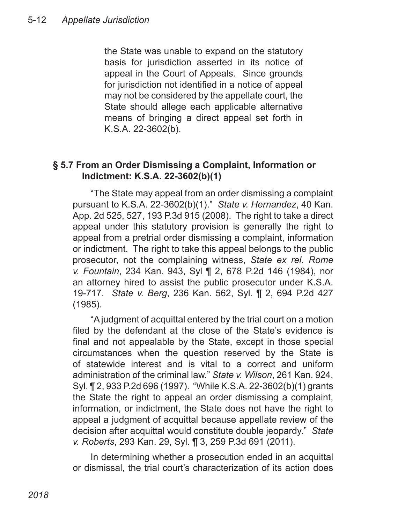the State was unable to expand on the statutory basis for jurisdiction asserted in its notice of appeal in the Court of Appeals. Since grounds for jurisdiction not identified in a notice of appeal may not be considered by the appellate court, the State should allege each applicable alternative means of bringing a direct appeal set forth in K.S.A. 22-3602(b).

#### **§ 5.7 From an Order Dismissing a Complaint, Information or Indictment: K.S.A. 22-3602(b)(1)**

"The State may appeal from an order dismissing a complaint pursuant to K.S.A. 22-3602(b)(1)." *State v. Hernandez*, 40 Kan. App. 2d 525, 527, 193 P.3d 915 (2008). The right to take a direct appeal under this statutory provision is generally the right to appeal from a pretrial order dismissing a complaint, information or indictment. The right to take this appeal belongs to the public prosecutor, not the complaining witness, *State ex rel. Rome v. Fountain*, 234 Kan. 943, Syl ¶ 2, 678 P.2d 146 (1984), nor an attorney hired to assist the public prosecutor under K.S.A. 19-717. *State v. Berg*, 236 Kan. 562, Syl. ¶ 2, 694 P.2d 427 (1985).

"A judgment of acquittal entered by the trial court on a motion filed by the defendant at the close of the State's evidence is final and not appealable by the State, except in those special circumstances when the question reserved by the State is of statewide interest and is vital to a correct and uniform administration of the criminal law." *State v. Wilson*, 261 Kan. 924, Syl. ¶ 2, 933 P.2d 696 (1997). "While K.S.A. 22-3602(b)(1) grants the State the right to appeal an order dismissing a complaint, information, or indictment, the State does not have the right to appeal a judgment of acquittal because appellate review of the decision after acquittal would constitute double jeopardy." *State v. Roberts*, 293 Kan. 29, Syl. ¶ 3, 259 P.3d 691 (2011).

In determining whether a prosecution ended in an acquittal or dismissal, the trial court's characterization of its action does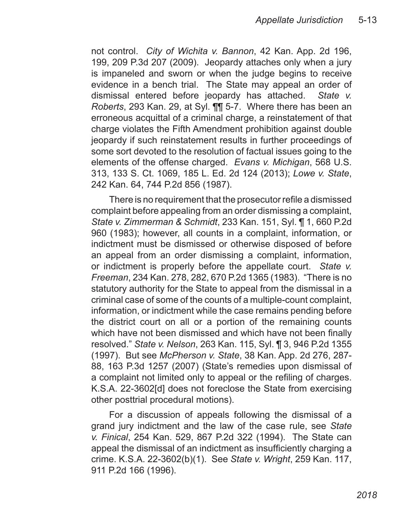not control. *City of Wichita v. Bannon*, 42 Kan. App. 2d 196, 199, 209 P.3d 207 (2009). Jeopardy attaches only when a jury is impaneled and sworn or when the judge begins to receive evidence in a bench trial. The State may appeal an order of dismissal entered before jeopardy has attached. *State v. Roberts*, 293 Kan. 29, at Syl. ¶¶ 5-7. Where there has been an erroneous acquittal of a criminal charge, a reinstatement of that charge violates the Fifth Amendment prohibition against double jeopardy if such reinstatement results in further proceedings of some sort devoted to the resolution of factual issues going to the elements of the offense charged. *Evans v. Michigan*, 568 U.S. 313, 133 S. Ct. 1069, 185 L. Ed. 2d 124 (2013); *Lowe v. State*, 242 Kan. 64, 744 P.2d 856 (1987).

There is no requirement that the prosecutor refile a dismissed complaint before appealing from an order dismissing a complaint, *State v. Zimmerman & Schmidt*, 233 Kan. 151, Syl. ¶ 1, 660 P.2d 960 (1983); however, all counts in a complaint, information, or indictment must be dismissed or otherwise disposed of before an appeal from an order dismissing a complaint, information, or indictment is properly before the appellate court. *State v. Freeman*, 234 Kan. 278, 282, 670 P.2d 1365 (1983). "There is no statutory authority for the State to appeal from the dismissal in a criminal case of some of the counts of a multiple-count complaint, information, or indictment while the case remains pending before the district court on all or a portion of the remaining counts which have not been dismissed and which have not been finally resolved." *State v. Nelson*, 263 Kan. 115, Syl. ¶ 3, 946 P.2d 1355 (1997). But see *McPherson v. State*, 38 Kan. App. 2d 276, 287- 88, 163 P.3d 1257 (2007) (State's remedies upon dismissal of a complaint not limited only to appeal or the refiling of charges. K.S.A. 22-3602[d] does not foreclose the State from exercising other posttrial procedural motions).

For a discussion of appeals following the dismissal of a grand jury indictment and the law of the case rule, see *State v. Finical*, 254 Kan. 529, 867 P.2d 322 (1994). The State can appeal the dismissal of an indictment as insufficiently charging a crime. K.S.A. 22-3602(b)(1). See *State v. Wright*, 259 Kan. 117, 911 P.2d 166 (1996).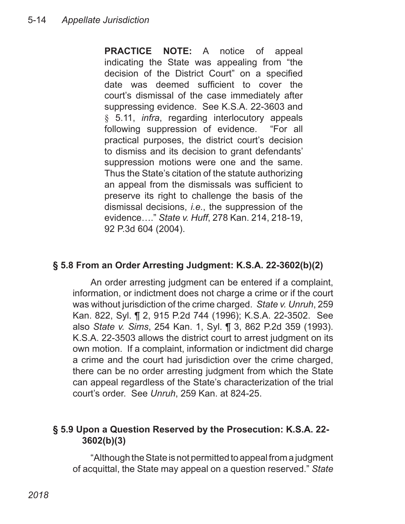**PRACTICE NOTE:** A notice of appeal indicating the State was appealing from "the decision of the District Court" on a specified date was deemed sufficient to cover the court's dismissal of the case immediately after suppressing evidence. See K.S.A. 22-3603 and § 5.11, *infra*, regarding interlocutory appeals following suppression of evidence. "For all practical purposes, the district court's decision to dismiss and its decision to grant defendants' suppression motions were one and the same. Thus the State's citation of the statute authorizing an appeal from the dismissals was sufficient to preserve its right to challenge the basis of the dismissal decisions, *i.e.*, the suppression of the evidence…." *State v. Huff*, 278 Kan. 214, 218-19, 92 P.3d 604 (2004).

#### **§ 5.8 From an Order Arresting Judgment: K.S.A. 22-3602(b)(2)**

An order arresting judgment can be entered if a complaint, information, or indictment does not charge a crime or if the court was without jurisdiction of the crime charged. *State v. Unruh*, 259 Kan. 822, Syl. ¶ 2, 915 P.2d 744 (1996); K.S.A. 22-3502. See also *State v. Sims*, 254 Kan. 1, Syl. ¶ 3, 862 P.2d 359 (1993). K.S.A. 22-3503 allows the district court to arrest judgment on its own motion. If a complaint, information or indictment did charge a crime and the court had jurisdiction over the crime charged, there can be no order arresting judgment from which the State can appeal regardless of the State's characterization of the trial court's order. See *Unruh*, 259 Kan. at 824-25.

#### **§ 5.9 Upon a Question Reserved by the Prosecution: K.S.A. 22- 3602(b)(3)**

"Although the State is not permitted to appeal from a judgment of acquittal, the State may appeal on a question reserved." *State*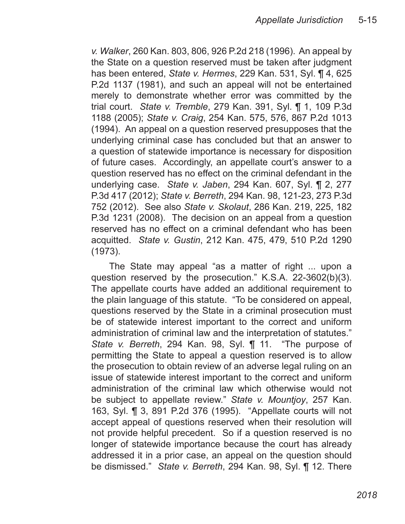*v. Walker*, 260 Kan. 803, 806, 926 P.2d 218 (1996). An appeal by the State on a question reserved must be taken after judgment has been entered, *State v. Hermes*, 229 Kan. 531, Syl. ¶ 4, 625 P.2d 1137 (1981), and such an appeal will not be entertained merely to demonstrate whether error was committed by the trial court. *State v. Tremble*, 279 Kan. 391, Syl. ¶ 1, 109 P.3d 1188 (2005); *State v. Craig*, 254 Kan. 575, 576, 867 P.2d 1013 (1994). An appeal on a question reserved presupposes that the underlying criminal case has concluded but that an answer to a question of statewide importance is necessary for disposition of future cases. Accordingly, an appellate court's answer to a question reserved has no effect on the criminal defendant in the underlying case. *State v. Jaben*, 294 Kan. 607, Syl. ¶ 2, 277 P.3d 417 (2012); *State v. Berreth*, 294 Kan. 98, 121-23, 273 P.3d 752 (2012). See also *State v. Skolaut*, 286 Kan. 219, 225, 182 P.3d 1231 (2008). The decision on an appeal from a question reserved has no effect on a criminal defendant who has been acquitted. *State v. Gustin*, 212 Kan. 475, 479, 510 P.2d 1290 (1973).

The State may appeal "as a matter of right ... upon a question reserved by the prosecution." K.S.A. 22-3602(b)(3). The appellate courts have added an additional requirement to the plain language of this statute. "To be considered on appeal, questions reserved by the State in a criminal prosecution must be of statewide interest important to the correct and uniform administration of criminal law and the interpretation of statutes." *State v. Berreth*, 294 Kan. 98, Syl. ¶ 11. "The purpose of permitting the State to appeal a question reserved is to allow the prosecution to obtain review of an adverse legal ruling on an issue of statewide interest important to the correct and uniform administration of the criminal law which otherwise would not be subject to appellate review." *State v. Mountjoy*, 257 Kan. 163, Syl. ¶ 3, 891 P.2d 376 (1995). "Appellate courts will not accept appeal of questions reserved when their resolution will not provide helpful precedent. So if a question reserved is no longer of statewide importance because the court has already addressed it in a prior case, an appeal on the question should be dismissed." *State v. Berreth*, 294 Kan. 98, Syl. ¶ 12. There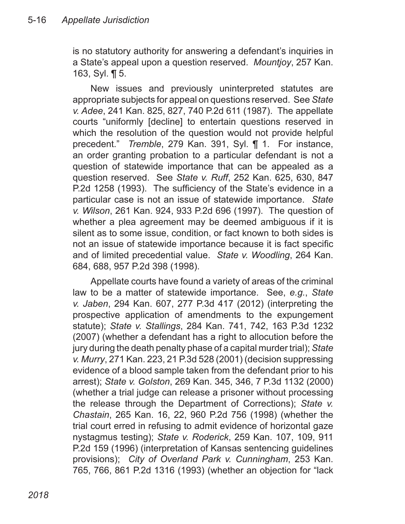is no statutory authority for answering a defendant's inquiries in a State's appeal upon a question reserved. *Mountjoy*, 257 Kan. 163, Syl. ¶ 5.

New issues and previously uninterpreted statutes are appropriate subjects for appeal on questions reserved. See *State v. Adee*, 241 Kan. 825, 827, 740 P.2d 611 (1987). The appellate courts "uniformly [decline] to entertain questions reserved in which the resolution of the question would not provide helpful precedent." *Tremble*, 279 Kan. 391, Syl. ¶ 1. For instance, an order granting probation to a particular defendant is not a question of statewide importance that can be appealed as a question reserved. See *State v. Ruff*, 252 Kan. 625, 630, 847 P.2d 1258 (1993). The sufficiency of the State's evidence in a particular case is not an issue of statewide importance. *State v. Wilson*, 261 Kan. 924, 933 P.2d 696 (1997). The question of whether a plea agreement may be deemed ambiguous if it is silent as to some issue, condition, or fact known to both sides is not an issue of statewide importance because it is fact specific and of limited precedential value. *State v. Woodling*, 264 Kan. 684, 688, 957 P.2d 398 (1998).

Appellate courts have found a variety of areas of the criminal law to be a matter of statewide importance. See, *e.g.*, *State v. Jaben*, 294 Kan. 607, 277 P.3d 417 (2012) (interpreting the prospective application of amendments to the expungement statute); *State v. Stallings*, 284 Kan. 741, 742, 163 P.3d 1232 (2007) (whether a defendant has a right to allocution before the jury during the death penalty phase of a capital murder trial); *State v. Murry*, 271 Kan. 223, 21 P.3d 528 (2001) (decision suppressing evidence of a blood sample taken from the defendant prior to his arrest); *State v. Golston*, 269 Kan. 345, 346, 7 P.3d 1132 (2000) (whether a trial judge can release a prisoner without processing the release through the Department of Corrections); *State v. Chastain*, 265 Kan. 16, 22, 960 P.2d 756 (1998) (whether the trial court erred in refusing to admit evidence of horizontal gaze nystagmus testing); *State v. Roderick*, 259 Kan. 107, 109, 911 P.2d 159 (1996) (interpretation of Kansas sentencing guidelines provisions); *City of Overland Park v. Cunningham*, 253 Kan. 765, 766, 861 P.2d 1316 (1993) (whether an objection for "lack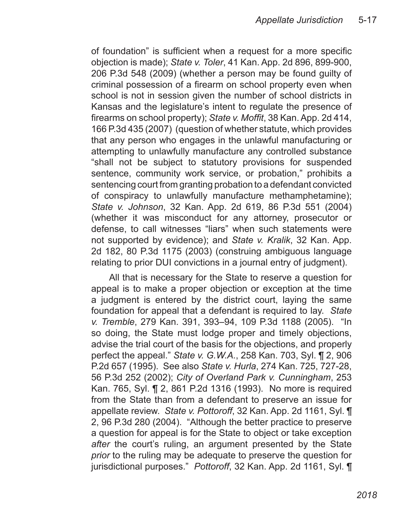of foundation" is sufficient when a request for a more specific objection is made); *State v. Toler*, 41 Kan. App. 2d 896, 899-900, 206 P.3d 548 (2009) (whether a person may be found guilty of criminal possession of a firearm on school property even when school is not in session given the number of school districts in Kansas and the legislature's intent to regulate the presence of firearms on school property); *State v. Moffit*, 38 Kan. App. 2d 414, 166 P.3d 435 (2007) (question of whether statute, which provides that any person who engages in the unlawful manufacturing or attempting to unlawfully manufacture any controlled substance "shall not be subject to statutory provisions for suspended sentence, community work service, or probation," prohibits a sentencing court from granting probation to a defendant convicted of conspiracy to unlawfully manufacture methamphetamine); *State v. Johnson*, 32 Kan. App. 2d 619, 86 P.3d 551 (2004) (whether it was misconduct for any attorney, prosecutor or defense, to call witnesses "liars" when such statements were not supported by evidence); and *State v. Kralik*, 32 Kan. App. 2d 182, 80 P.3d 1175 (2003) (construing ambiguous language relating to prior DUI convictions in a journal entry of judgment).

All that is necessary for the State to reserve a question for appeal is to make a proper objection or exception at the time a judgment is entered by the district court, laying the same foundation for appeal that a defendant is required to lay. *State v. Tremble*, 279 Kan. 391, 393–94, 109 P.3d 1188 (2005). "In so doing, the State must lodge proper and timely objections, advise the trial court of the basis for the objections, and properly perfect the appeal." *State v. G.W.A.*, 258 Kan. 703, Syl. ¶ 2, 906 P.2d 657 (1995). See also *State v. Hurla*, 274 Kan. 725, 727-28, 56 P.3d 252 (2002); *City of Overland Park v. Cunningham*, 253 Kan. 765, Syl. ¶ 2, 861 P.2d 1316 (1993). No more is required from the State than from a defendant to preserve an issue for appellate review. *State v. Pottoroff*, 32 Kan. App. 2d 1161, Syl. ¶ 2, 96 P.3d 280 (2004). "Although the better practice to preserve a question for appeal is for the State to object or take exception *after* the court's ruling, an argument presented by the State *prior* to the ruling may be adequate to preserve the question for jurisdictional purposes." *Pottoroff*, 32 Kan. App. 2d 1161, Syl. ¶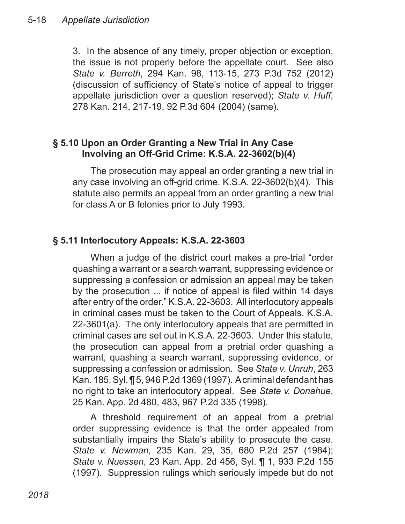3. In the absence of any timely, proper objection or exception, the issue is not properly before the appellate court. See also *State v. Berreth*, 294 Kan. 98, 113-15, 273 P.3d 752 (2012) (discussion of sufficiency of State's notice of appeal to trigger appellate jurisdiction over a question reserved); *State v. Huff*, 278 Kan. 214, 217-19, 92 P.3d 604 (2004) (same).

#### **§ 5.10 Upon an Order Granting a New Trial in Any Case Involving an Off-Grid Crime: K.S.A. 22-3602(b)(4)**

The prosecution may appeal an order granting a new trial in any case involving an off-grid crime. K.S.A. 22-3602(b)(4). This statute also permits an appeal from an order granting a new trial for class A or B felonies prior to July 1993.

# **§ 5.11 Interlocutory Appeals: K.S.A. 22-3603**

When a judge of the district court makes a pre-trial "order quashing a warrant or a search warrant, suppressing evidence or suppressing a confession or admission an appeal may be taken by the prosecution ... if notice of appeal is filed within 14 days after entry of the order." K.S.A. 22-3603. All interlocutory appeals in criminal cases must be taken to the Court of Appeals. K.S.A. 22-3601(a). The only interlocutory appeals that are permitted in criminal cases are set out in K.S.A. 22-3603. Under this statute, the prosecution can appeal from a pretrial order quashing a warrant, quashing a search warrant, suppressing evidence, or suppressing a confession or admission. See *State v. Unruh*, 263 Kan. 185, Syl. ¶ 5, 946 P.2d 1369 (1997). A criminal defendant has no right to take an interlocutory appeal. See *State v. Donahue*, 25 Kan. App. 2d 480, 483, 967 P.2d 335 (1998).

A threshold requirement of an appeal from a pretrial order suppressing evidence is that the order appealed from substantially impairs the State's ability to prosecute the case. *State v. Newman*, 235 Kan. 29, 35, 680 P.2d 257 (1984); *State v. Nuessen*, 23 Kan. App. 2d 456, Syl. ¶ 1, 933 P.2d 155 (1997). Suppression rulings which seriously impede but do not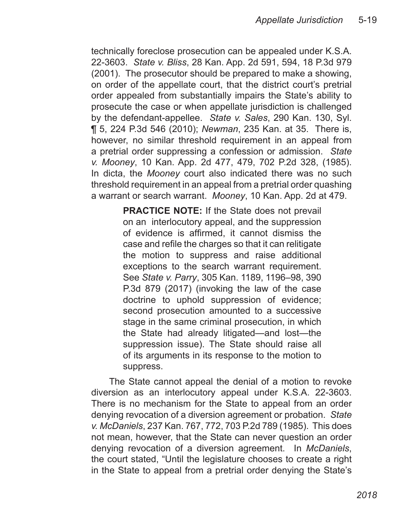technically foreclose prosecution can be appealed under K.S.A. 22-3603. *State v. Bliss*, 28 Kan. App. 2d 591, 594, 18 P.3d 979 (2001). The prosecutor should be prepared to make a showing, on order of the appellate court, that the district court's pretrial order appealed from substantially impairs the State's ability to prosecute the case or when appellate jurisdiction is challenged by the defendant-appellee. *State v. Sales*, 290 Kan. 130, Syl. ¶ 5, 224 P.3d 546 (2010); *Newman*, 235 Kan. at 35. There is, however, no similar threshold requirement in an appeal from a pretrial order suppressing a confession or admission. *State v. Mooney*, 10 Kan. App. 2d 477, 479, 702 P.2d 328, (1985). In dicta, the *Mooney* court also indicated there was no such threshold requirement in an appeal from a pretrial order quashing a warrant or search warrant. *Mooney*, 10 Kan. App. 2d at 479.

> **PRACTICE NOTE:** If the State does not prevail on an interlocutory appeal, and the suppression of evidence is affirmed, it cannot dismiss the case and refile the charges so that it can relitigate the motion to suppress and raise additional exceptions to the search warrant requirement. See *State v. Parry*, 305 Kan. 1189, 1196–98, 390 P.3d 879 (2017) (invoking the law of the case doctrine to uphold suppression of evidence; second prosecution amounted to a successive stage in the same criminal prosecution, in which the State had already litigated—and lost—the suppression issue). The State should raise all of its arguments in its response to the motion to suppress.

The State cannot appeal the denial of a motion to revoke diversion as an interlocutory appeal under K.S.A. 22-3603. There is no mechanism for the State to appeal from an order denying revocation of a diversion agreement or probation. *State v. McDaniels*, 237 Kan. 767, 772, 703 P.2d 789 (1985). This does not mean, however, that the State can never question an order denying revocation of a diversion agreement. In *McDaniels*, the court stated, "Until the legislature chooses to create a right in the State to appeal from a pretrial order denying the State's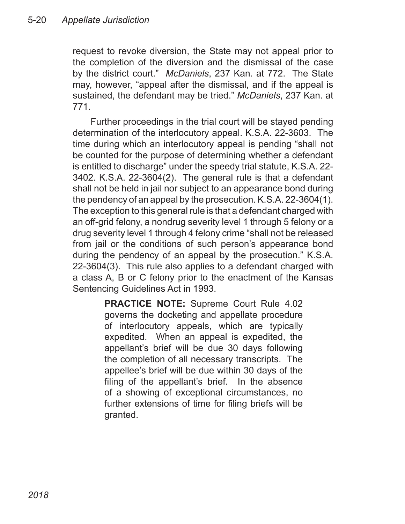request to revoke diversion, the State may not appeal prior to the completion of the diversion and the dismissal of the case by the district court." *McDaniels*, 237 Kan. at 772. The State may, however, "appeal after the dismissal, and if the appeal is sustained, the defendant may be tried." *McDaniels*, 237 Kan. at 771.

Further proceedings in the trial court will be stayed pending determination of the interlocutory appeal. K.S.A. 22-3603. The time during which an interlocutory appeal is pending "shall not be counted for the purpose of determining whether a defendant is entitled to discharge" under the speedy trial statute, K.S.A. 22- 3402. K.S.A. 22-3604(2). The general rule is that a defendant shall not be held in jail nor subject to an appearance bond during the pendency of an appeal by the prosecution. K.S.A. 22-3604(1). The exception to this general rule is that a defendant charged with an off-grid felony, a nondrug severity level 1 through 5 felony or a drug severity level 1 through 4 felony crime "shall not be released from jail or the conditions of such person's appearance bond during the pendency of an appeal by the prosecution." K.S.A. 22-3604(3). This rule also applies to a defendant charged with a class A, B or C felony prior to the enactment of the Kansas Sentencing Guidelines Act in 1993.

> **PRACTICE NOTE:** Supreme Court Rule 4.02 governs the docketing and appellate procedure of interlocutory appeals, which are typically expedited. When an appeal is expedited, the appellant's brief will be due 30 days following the completion of all necessary transcripts. The appellee's brief will be due within 30 days of the filing of the appellant's brief. In the absence of a showing of exceptional circumstances, no further extensions of time for filing briefs will be granted.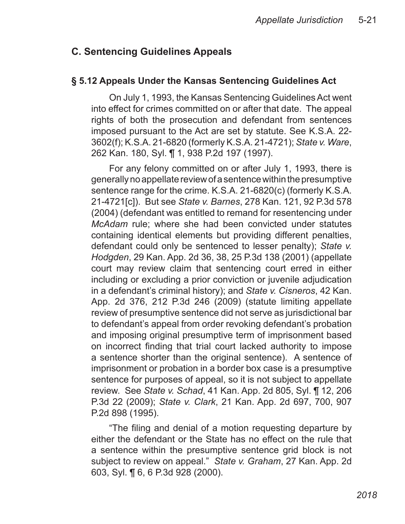# **C. Sentencing Guidelines Appeals**

#### **§ 5.12 Appeals Under the Kansas Sentencing Guidelines Act**

On July 1, 1993, the Kansas Sentencing Guidelines Act went into effect for crimes committed on or after that date. The appeal rights of both the prosecution and defendant from sentences imposed pursuant to the Act are set by statute. See K.S.A. 22- 3602(f); K.S.A. 21-6820 (formerly K.S.A. 21-4721); *State v. Ware*, 262 Kan. 180, Syl. ¶ 1, 938 P.2d 197 (1997).

For any felony committed on or after July 1, 1993, there is generally no appellate review of a sentence within the presumptive sentence range for the crime. K.S.A. 21-6820(c) (formerly K.S.A. 21-4721[c]). But see *State v. Barnes*, 278 Kan. 121, 92 P.3d 578 (2004) (defendant was entitled to remand for resentencing under *McAdam* rule; where she had been convicted under statutes containing identical elements but providing different penalties, defendant could only be sentenced to lesser penalty); *State v. Hodgden*, 29 Kan. App. 2d 36, 38, 25 P.3d 138 (2001) (appellate court may review claim that sentencing court erred in either including or excluding a prior conviction or juvenile adjudication in a defendant's criminal history); and *State v. Cisneros*, 42 Kan. App. 2d 376, 212 P.3d 246 (2009) (statute limiting appellate review of presumptive sentence did not serve as jurisdictional bar to defendant's appeal from order revoking defendant's probation and imposing original presumptive term of imprisonment based on incorrect finding that trial court lacked authority to impose a sentence shorter than the original sentence). A sentence of imprisonment or probation in a border box case is a presumptive sentence for purposes of appeal, so it is not subject to appellate review. See *State v. Schad*, 41 Kan. App. 2d 805, Syl. ¶ 12, 206 P.3d 22 (2009); *State v. Clark*, 21 Kan. App. 2d 697, 700, 907 P.2d 898 (1995).

"The filing and denial of a motion requesting departure by either the defendant or the State has no effect on the rule that a sentence within the presumptive sentence grid block is not subject to review on appeal." *State v. Graham*, 27 Kan. App. 2d 603, Syl. ¶ 6, 6 P.3d 928 (2000).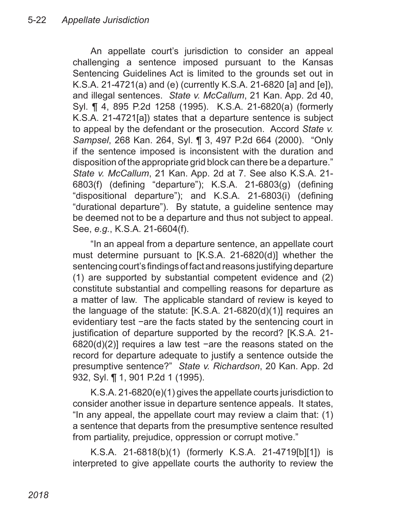An appellate court's jurisdiction to consider an appeal challenging a sentence imposed pursuant to the Kansas Sentencing Guidelines Act is limited to the grounds set out in K.S.A. 21-4721(a) and (e) (currently K.S.A. 21-6820 [a] and [e]), and illegal sentences. *State v. McCallum*, 21 Kan. App. 2d 40, Syl. ¶ 4, 895 P.2d 1258 (1995). K.S.A. 21-6820(a) (formerly K.S.A. 21-4721[a]) states that a departure sentence is subject to appeal by the defendant or the prosecution. Accord *State v. Sampsel*, 268 Kan. 264, Syl. ¶ 3, 497 P.2d 664 (2000). "Only if the sentence imposed is inconsistent with the duration and disposition of the appropriate grid block can there be a departure." *State v. McCallum*, 21 Kan. App. 2d at 7. See also K.S.A. 21- 6803(f) (defining "departure"); K.S.A. 21-6803(g) (defining "dispositional departure"); and K.S.A. 21-6803(i) (defining "durational departure"). By statute, a guideline sentence may be deemed not to be a departure and thus not subject to appeal. See, *e.g.*, K.S.A. 21-6604(f).

"In an appeal from a departure sentence, an appellate court must determine pursuant to [K.S.A. 21-6820(d)] whether the sentencing court's findings of fact and reasons justifying departure (1) are supported by substantial competent evidence and (2) constitute substantial and compelling reasons for departure as a matter of law. The applicable standard of review is keyed to the language of the statute: [K.S.A. 21-6820(d)(1)] requires an evidentiary test −are the facts stated by the sentencing court in justification of departure supported by the record? [K.S.A. 21-6820(d)(2)] requires a law test −are the reasons stated on the record for departure adequate to justify a sentence outside the presumptive sentence?" *State v. Richardson*, 20 Kan. App. 2d 932, Syl. ¶ 1, 901 P.2d 1 (1995).

K.S.A. 21-6820(e)(1) gives the appellate courts jurisdiction to consider another issue in departure sentence appeals. It states, "In any appeal, the appellate court may review a claim that: (1) a sentence that departs from the presumptive sentence resulted from partiality, prejudice, oppression or corrupt motive."

K.S.A. 21-6818(b)(1) (formerly K.S.A. 21-4719[b][1]) is interpreted to give appellate courts the authority to review the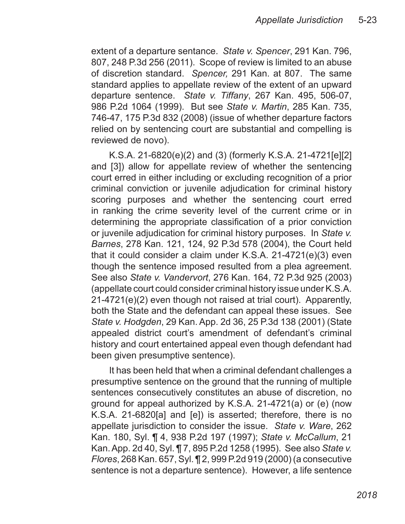extent of a departure sentance. *State v. Spencer*, 291 Kan. 796, 807, 248 P.3d 256 (2011). Scope of review is limited to an abuse of discretion standard. *Spencer,* 291 Kan. at 807. The same standard applies to appellate review of the extent of an upward departure sentence. *State v. Tiffany*, 267 Kan. 495, 506-07, 986 P.2d 1064 (1999). But see *State v. Martin*, 285 Kan. 735, 746-47, 175 P.3d 832 (2008) (issue of whether departure factors relied on by sentencing court are substantial and compelling is reviewed de novo).

K.S.A. 21-6820(e)(2) and (3) (formerly K.S.A. 21-4721[e][2] and [3]) allow for appellate review of whether the sentencing court erred in either including or excluding recognition of a prior criminal conviction or juvenile adjudication for criminal history scoring purposes and whether the sentencing court erred in ranking the crime severity level of the current crime or in determining the appropriate classification of a prior conviction or juvenile adjudication for criminal history purposes. In *State v. Barnes*, 278 Kan. 121, 124, 92 P.3d 578 (2004), the Court held that it could consider a claim under K.S.A. 21-4721(e)(3) even though the sentence imposed resulted from a plea agreement. See also *State v. Vandervort*, 276 Kan. 164, 72 P.3d 925 (2003) (appellate court could consider criminal history issue under K.S.A. 21-4721(e)(2) even though not raised at trial court). Apparently, both the State and the defendant can appeal these issues. See *State v. Hodgden*, 29 Kan. App. 2d 36, 25 P.3d 138 (2001) (State appealed district court's amendment of defendant's criminal history and court entertained appeal even though defendant had been given presumptive sentence).

It has been held that when a criminal defendant challenges a presumptive sentence on the ground that the running of multiple sentences consecutively constitutes an abuse of discretion, no ground for appeal authorized by K.S.A. 21-4721(a) or (e) (now K.S.A. 21-6820[a] and [e]) is asserted; therefore, there is no appellate jurisdiction to consider the issue. *State v. Ware*, 262 Kan. 180, Syl. ¶ 4, 938 P.2d 197 (1997); *State v. McCallum*, 21 Kan. App. 2d 40, Syl. ¶ 7, 895 P.2d 1258 (1995). See also *State v. Flores*, 268 Kan. 657, Syl. ¶ 2, 999 P.2d 919 (2000) (a consecutive sentence is not a departure sentence). However, a life sentence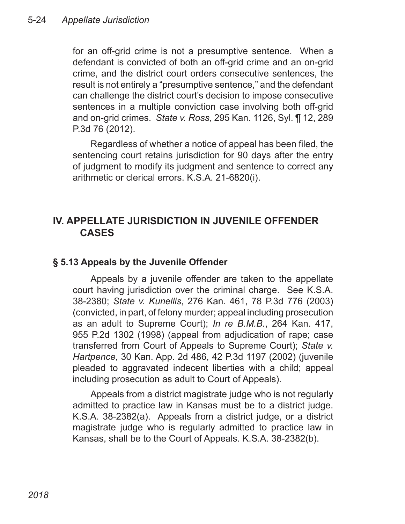for an off-grid crime is not a presumptive sentence. When a defendant is convicted of both an off-grid crime and an on-grid crime, and the district court orders consecutive sentences, the result is not entirely a "presumptive sentence," and the defendant can challenge the district court's decision to impose consecutive sentences in a multiple conviction case involving both off-grid and on-grid crimes. *State v. Ross*, 295 Kan. 1126, Syl. ¶ 12, 289 P.3d 76 (2012).

Regardless of whether a notice of appeal has been filed, the sentencing court retains jurisdiction for 90 days after the entry of judgment to modify its judgment and sentence to correct any arithmetic or clerical errors. K.S.A. 21-6820(i).

# **IV. APPELLATE JURISDICTION IN JUVENILE OFFENDER CASES**

#### **§ 5.13 Appeals by the Juvenile Offender**

Appeals by a juvenile offender are taken to the appellate court having jurisdiction over the criminal charge. See K.S.A. 38-2380; *State v. Kunellis*, 276 Kan. 461, 78 P.3d 776 (2003) (convicted, in part, of felony murder; appeal including prosecution as an adult to Supreme Court); *In re B.M.B.*, 264 Kan. 417, 955 P.2d 1302 (1998) (appeal from adjudication of rape; case transferred from Court of Appeals to Supreme Court); *State v. Hartpence*, 30 Kan. App. 2d 486, 42 P.3d 1197 (2002) (juvenile pleaded to aggravated indecent liberties with a child; appeal including prosecution as adult to Court of Appeals).

Appeals from a district magistrate judge who is not regularly admitted to practice law in Kansas must be to a district judge. K.S.A. 38-2382(a). Appeals from a district judge, or a district magistrate judge who is regularly admitted to practice law in Kansas, shall be to the Court of Appeals. K.S.A. 38-2382(b).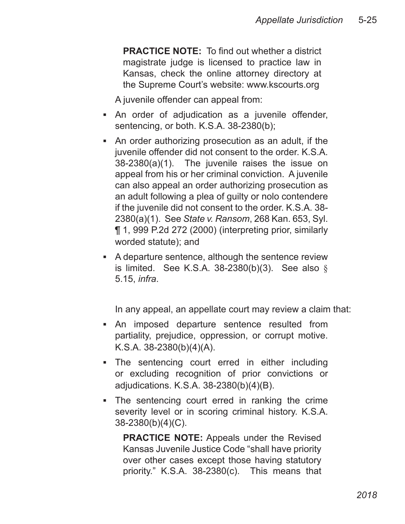**PRACTICE NOTE:** To find out whether a district magistrate judge is licensed to practice law in Kansas, check the online attorney directory at the Supreme Court's website: www.kscourts.org

A juvenile offender can appeal from:

- An order of adjudication as a juvenile offender, sentencing, or both. K.S.A. 38-2380(b);
- An order authorizing prosecution as an adult, if the juvenile offender did not consent to the order. K.S.A. 38-2380(a)(1). The juvenile raises the issue on appeal from his or her criminal conviction. A juvenile can also appeal an order authorizing prosecution as an adult following a plea of guilty or nolo contendere if the juvenile did not consent to the order. K.S.A. 38- 2380(a)(1). See *State v. Ransom*, 268 Kan. 653, Syl. ¶ 1, 999 P.2d 272 (2000) (interpreting prior, similarly worded statute); and
- **A** departure sentence, although the sentence review is limited. See K.S.A.  $38-2380(b)(3)$ . See also § 5.15, *infra*.

In any appeal, an appellate court may review a claim that:

- An imposed departure sentence resulted from partiality, prejudice, oppression, or corrupt motive. K.S.A. 38-2380(b)(4)(A).
- The sentencing court erred in either including or excluding recognition of prior convictions or adjudications. K.S.A. 38-2380(b)(4)(B).
- The sentencing court erred in ranking the crime severity level or in scoring criminal history. K.S.A. 38-2380(b)(4)(C). ▪
	- **PRACTICE NOTE:** Appeals under the Revised Kansas Juvenile Justice Code "shall have priority over other cases except those having statutory priority." K.S.A. 38-2380(c). This means that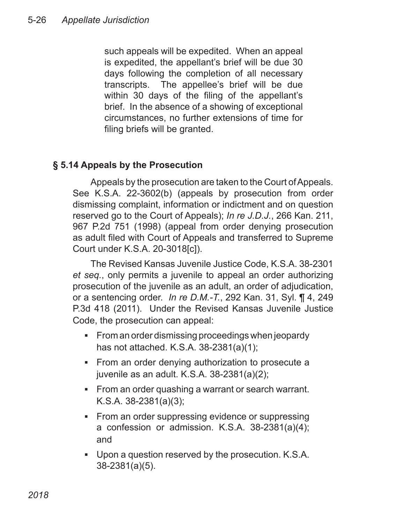such appeals will be expedited. When an appeal is expedited, the appellant's brief will be due 30 days following the completion of all necessary transcripts. The appellee's brief will be due within 30 days of the filing of the appellant's brief. In the absence of a showing of exceptional circumstances, no further extensions of time for filing briefs will be granted.

# **§ 5.14 Appeals by the Prosecution**

Appeals by the prosecution are taken to the Court of Appeals. See K.S.A. 22-3602(b) (appeals by prosecution from order dismissing complaint, information or indictment and on question reserved go to the Court of Appeals); *In re J.D.J.*, 266 Kan. 211, 967 P.2d 751 (1998) (appeal from order denying prosecution as adult filed with Court of Appeals and transferred to Supreme Court under K.S.A. 20-3018[c]).

The Revised Kansas Juvenile Justice Code, K.S.A. 38-2301 *et seq.*, only permits a juvenile to appeal an order authorizing prosecution of the juvenile as an adult, an order of adjudication, or a sentencing order. *In re D.M.-T.*, 292 Kan. 31, Syl. ¶ 4, 249 P.3d 418 (2011). Under the Revised Kansas Juvenile Justice Code, the prosecution can appeal:

- From an order dismissing proceedings when jeopardy has not attached. K.S.A. 38-2381(a)(1);
- **From an order denying authorization to prosecute a** juvenile as an adult. K.S.A. 38-2381(a)(2);
- From an order quashing a warrant or search warrant. K.S.A. 38-2381(a)(3);
- From an order suppressing evidence or suppressing a confession or admission. K.S.A. 38-2381(a)(4); and
- Upon a question reserved by the prosecution. K.S.A. ▪38-2381(a)(5).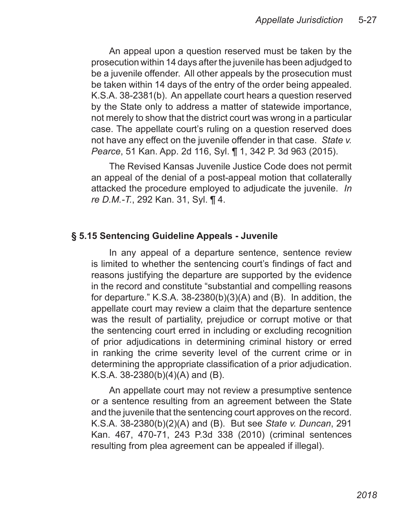An appeal upon a question reserved must be taken by the prosecution within 14 days after the juvenile has been adjudged to be a juvenile offender. All other appeals by the prosecution must be taken within 14 days of the entry of the order being appealed. K.S.A. 38-2381(b). An appellate court hears a question reserved by the State only to address a matter of statewide importance, not merely to show that the district court was wrong in a particular case. The appellate court's ruling on a question reserved does not have any effect on the juvenile offender in that case. *State v. Pearce*, 51 Kan. App. 2d 116, Syl. ¶ 1, 342 P. 3d 963 (2015).

The Revised Kansas Juvenile Justice Code does not permit an appeal of the denial of a post-appeal motion that collaterally attacked the procedure employed to adjudicate the juvenile. *In re D.M.-T.*, 292 Kan. 31, Syl. ¶ 4.

#### **§ 5.15 Sentencing Guideline Appeals - Juvenile**

In any appeal of a departure sentence, sentence review is limited to whether the sentencing court's findings of fact and reasons justifying the departure are supported by the evidence in the record and constitute "substantial and compelling reasons for departure." K.S.A. 38-2380(b)(3)(A) and (B). In addition, the appellate court may review a claim that the departure sentence was the result of partiality, prejudice or corrupt motive or that the sentencing court erred in including or excluding recognition of prior adjudications in determining criminal history or erred in ranking the crime severity level of the current crime or in determining the appropriate classification of a prior adjudication. K.S.A.  $38-2380(b)(4)(A)$  and (B).

An appellate court may not review a presumptive sentence or a sentence resulting from an agreement between the State and the juvenile that the sentencing court approves on the record. K.S.A. 38-2380(b)(2)(A) and (B). But see *State v. Duncan*, 291 Kan. 467, 470-71, 243 P.3d 338 (2010) (criminal sentences resulting from plea agreement can be appealed if illegal).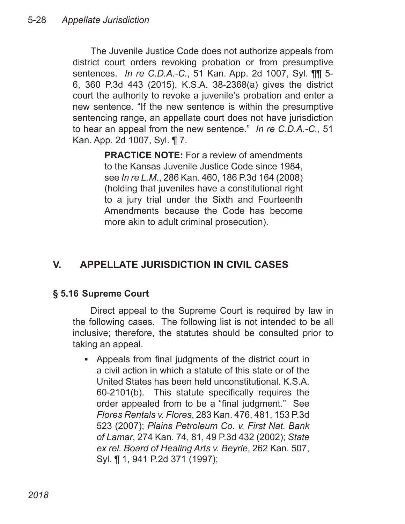The Juvenile Justice Code does not authorize appeals from district court orders revoking probation or from presumptive sentences. *In re C.D.A.-C.*, 51 Kan. App. 2d 1007, Syl. ¶¶ 5- 6, 360 P.3d 443 (2015). K.S.A. 38-2368(a) gives the district court the authority to revoke a juvenile's probation and enter a new sentence. "If the new sentence is within the presumptive sentencing range, an appellate court does not have jurisdiction to hear an appeal from the new sentence." *In re C.D.A.-C.*, 51 Kan. App. 2d 1007, Syl. ¶ 7.

> **PRACTICE NOTE:** For a review of amendments to the Kansas Juvenile Justice Code since 1984, see *In re L.M.*, 286 Kan. 460, 186 P.3d 164 (2008) (holding that juveniles have a constitutional right to a jury trial under the Sixth and Fourteenth Amendments because the Code has become more akin to adult criminal prosecution).

# **V. APPELLATE JURISDICTION IN CIVIL CASES**

### **§ 5.16 Supreme Court**

Direct appeal to the Supreme Court is required by law in the following cases. The following list is not intended to be all inclusive; therefore, the statutes should be consulted prior to taking an appeal.

Appeals from final judgments of the district court in ▪a civil action in which a statute of this state or of the United States has been held unconstitutional. K.S.A. 60-2101(b). This statute specifically requires the order appealed from to be a "final judgment." See *Flores Rentals v. Flores*, 283 Kan. 476, 481, 153 P.3d 523 (2007); *Plains Petroleum Co. v. First Nat. Bank of Lamar*, 274 Kan. 74, 81, 49 P.3d 432 (2002); *State ex rel. Board of Healing Arts v. Beyrle*, 262 Kan. 507, Syl. ¶ 1, 941 P.2d 371 (1997);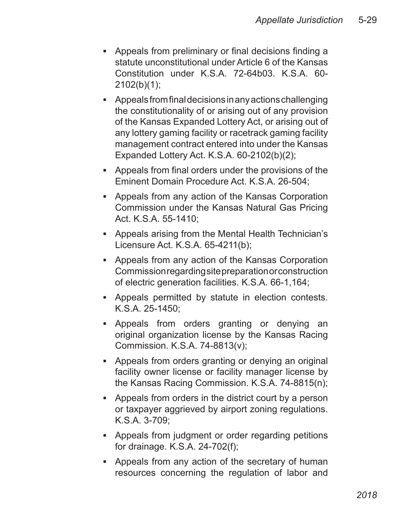- Appeals from preliminary or final decisions finding a statute unconstitutional under Article 6 of the Kansas Constitution under K.S.A. 72-64b03. K.S.A. 60- 2102(b)(1);
- Appeals from final decisions in any actions challenging the constitutionality of or arising out of any provision of the Kansas Expanded Lottery Act, or arising out of any lottery gaming facility or racetrack gaming facility management contract entered into under the Kansas Expanded Lottery Act. K.S.A. 60-2102(b)(2);
- Appeals from final orders under the provisions of the Eminent Domain Procedure Act. K.S.A. 26-504;
- Appeals from any action of the Kansas Corporation Commission under the Kansas Natural Gas Pricing Act. K.S.A. 55-1410;
- Appeals arising from the Mental Health Technician's Licensure Act. K.S.A. 65-4211(b);
- Appeals from any action of the Kansas Corporation Commission regarding site preparation or construction of electric generation facilities. K.S.A. 66-1,164;
- Appeals permitted by statute in election contests. K.S.A. 25-1450;
- Appeals from orders granting or denying an original organization license by the Kansas Racing Commission. K.S.A. 74-8813(v);
- Appeals from orders granting or denying an original facility owner license or facility manager license by the Kansas Racing Commission. K.S.A. 74-8815(n);
- Appeals from orders in the district court by a person or taxpayer aggrieved by airport zoning regulations. K.S.A. 3-709;
- Appeals from judgment or order regarding petitions for drainage. K.S.A. 24-702(f);
- Appeals from any action of the secretary of human ▪resources concerning the regulation of labor and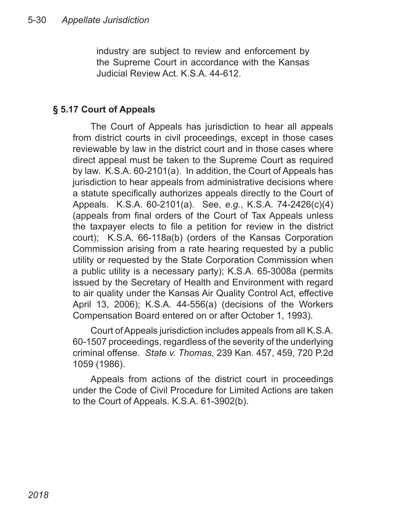industry are subject to review and enforcement by the Supreme Court in accordance with the Kansas Judicial Review Act. K.S.A. 44-612.

## **§ 5.17 Court of Appeals**

The Court of Appeals has jurisdiction to hear all appeals from district courts in civil proceedings, except in those cases reviewable by law in the district court and in those cases where direct appeal must be taken to the Supreme Court as required by law. K.S.A. 60-2101(a). In addition, the Court of Appeals has jurisdiction to hear appeals from administrative decisions where a statute specifically authorizes appeals directly to the Court of Appeals. K.S.A. 60-2101(a). See, *e.g.*, K.S.A. 74-2426(c)(4) (appeals from final orders of the Court of Tax Appeals unless the taxpayer elects to file a petition for review in the district court); K.S.A. 66-118a(b) (orders of the Kansas Corporation Commission arising from a rate hearing requested by a public utility or requested by the State Corporation Commission when a public utility is a necessary party); K.S.A. 65-3008a (permits issued by the Secretary of Health and Environment with regard to air quality under the Kansas Air Quality Control Act, effective April 13, 2006); K.S.A. 44-556(a) (decisions of the Workers Compensation Board entered on or after October 1, 1993).

Court of Appeals jurisdiction includes appeals from all K.S.A. 60-1507 proceedings, regardless of the severity of the underlying criminal offense. *State v. Thomas*, 239 Kan. 457, 459, 720 P.2d 1059 (1986).

Appeals from actions of the district court in proceedings under the Code of Civil Procedure for Limited Actions are taken to the Court of Appeals. K.S.A. 61-3902(b).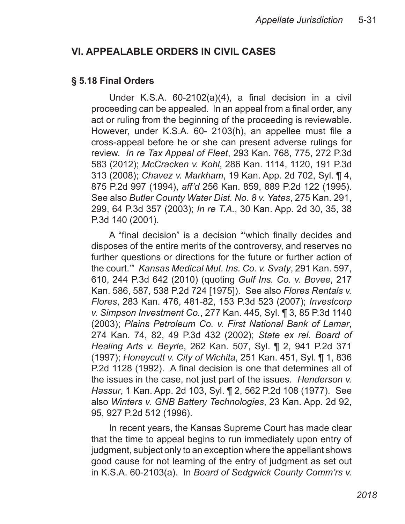# **VI. APPEALABLE ORDERS IN CIVIL CASES**

#### **§ 5.18 Final Orders**

Under K.S.A. 60-2102(a)(4), a final decision in a civil proceeding can be appealed. In an appeal from a final order, any act or ruling from the beginning of the proceeding is reviewable. However, under K.S.A. 60- 2103(h), an appellee must file a cross-appeal before he or she can present adverse rulings for review. *In re Tax Appeal of Fleet*, 293 Kan. 768, 775, 272 P.3d 583 (2012); *McCracken v. Kohl*, 286 Kan. 1114, 1120, 191 P.3d 313 (2008); *Chavez v. Markham*, 19 Kan. App. 2d 702, Syl. ¶ 4, 875 P.2d 997 (1994), *aff'd* 256 Kan. 859, 889 P.2d 122 (1995). See also *Butler County Water Dist. No. 8 v. Yates*, 275 Kan. 291, 299, 64 P.3d 357 (2003); *In re T.A.*, 30 Kan. App. 2d 30, 35, 38 P.3d 140 (2001).

A "final decision" is a decision "'which finally decides and disposes of the entire merits of the controversy, and reserves no further questions or directions for the future or further action of the court.'" *Kansas Medical Mut. Ins. Co. v. Svaty*, 291 Kan. 597, 610, 244 P.3d 642 (2010) (quoting *Gulf Ins. Co. v. Bovee*, 217 Kan. 586, 587, 538 P.2d 724 [1975]). See also *Flores Rentals v. Flores*, 283 Kan. 476, 481-82, 153 P.3d 523 (2007); *Investcorp v. Simpson Investment Co.*, 277 Kan. 445, Syl. ¶ 3, 85 P.3d 1140 (2003); *Plains Petroleum Co. v. First National Bank of Lamar*, 274 Kan. 74, 82, 49 P.3d 432 (2002); *State ex rel. Board of Healing Arts v. Beyrle*, 262 Kan. 507, Syl. ¶ 2, 941 P.2d 371 (1997); *Honeycutt v. City of Wichita*, 251 Kan. 451, Syl. ¶ 1, 836 P.2d 1128 (1992). A final decision is one that determines all of the issues in the case, not just part of the issues. *Henderson v. Hassur*, 1 Kan. App. 2d 103, Syl. ¶ 2, 562 P.2d 108 (1977). See also *Winters v. GNB Battery Technologies*, 23 Kan. App. 2d 92, 95, 927 P.2d 512 (1996).

In recent years, the Kansas Supreme Court has made clear that the time to appeal begins to run immediately upon entry of judgment, subject only to an exception where the appellant shows good cause for not learning of the entry of judgment as set out in K.S.A. 60-2103(a). In *Board of Sedgwick County Comm'rs v.*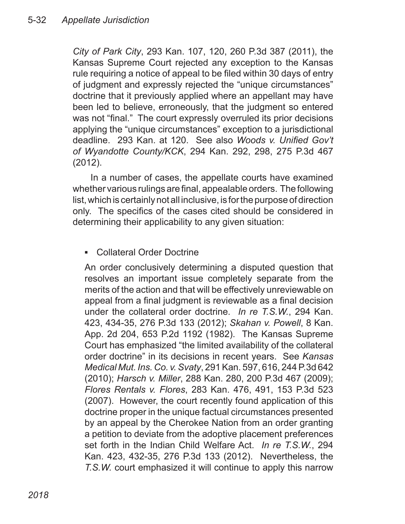*City of Park City*, 293 Kan. 107, 120, 260 P.3d 387 (2011), the Kansas Supreme Court rejected any exception to the Kansas rule requiring a notice of appeal to be filed within 30 days of entry of judgment and expressly rejected the "unique circumstances" doctrine that it previously applied where an appellant may have been led to believe, erroneously, that the judgment so entered was not "final." The court expressly overruled its prior decisions applying the "unique circumstances" exception to a jurisdictional deadline. 293 Kan. at 120. See also *Woods v. Unified Gov't of Wyandotte County/KCK*, 294 Kan. 292, 298, 275 P.3d 467 (2012).

In a number of cases, the appellate courts have examined whether various rulings are final, appealable orders. The following list, which is certainly not all inclusive, is for the purpose of direction only. The specifics of the cases cited should be considered in determining their applicability to any given situation:

#### Collateral Order Doctrine ▪

An order conclusively determining a disputed question that resolves an important issue completely separate from the merits of the action and that will be effectively unreviewable on appeal from a final judgment is reviewable as a final decision under the collateral order doctrine. *In re T.S.W.*, 294 Kan. 423, 434-35, 276 P.3d 133 (2012); *Skahan v. Powell*, 8 Kan. App. 2d 204, 653 P.2d 1192 (1982). The Kansas Supreme Court has emphasized "the limited availability of the collateral order doctrine" in its decisions in recent years. See *Kansas Medical Mut. Ins. Co. v. Svaty*, 291 Kan. 597, 616, 244 P.3d 642 (2010); *Harsch v. Miller*, 288 Kan. 280, 200 P.3d 467 (2009); *Flores Rentals v. Flores*, 283 Kan. 476, 491, 153 P.3d 523 (2007). However, the court recently found application of this doctrine proper in the unique factual circumstances presented by an appeal by the Cherokee Nation from an order granting a petition to deviate from the adoptive placement preferences set forth in the Indian Child Welfare Act. *In re T.S.W.*, 294 Kan. 423, 432-35, 276 P.3d 133 (2012). Nevertheless, the *T.S.W.* court emphasized it will continue to apply this narrow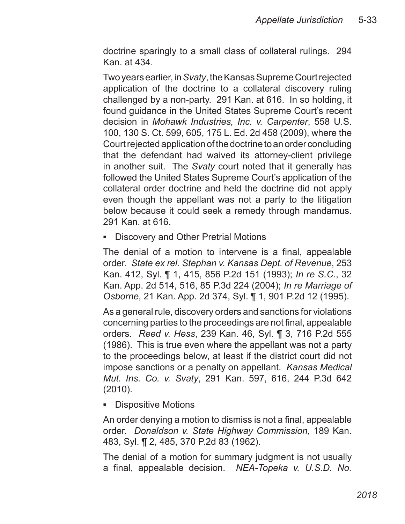doctrine sparingly to a small class of collateral rulings. 294 Kan. at 434.

Two years earlier, in *Svaty*, the Kansas Supreme Court rejected application of the doctrine to a collateral discovery ruling challenged by a non-party. 291 Kan. at 616. In so holding, it found guidance in the United States Supreme Court's recent decision in *Mohawk Industries, Inc. v. Carpenter*, 558 U.S. 100, 130 S. Ct. 599, 605, 175 L. Ed. 2d 458 (2009), where the Court rejected application of the doctrine to an order concluding that the defendant had waived its attorney-client privilege in another suit. The *Svaty* court noted that it generally has followed the United States Supreme Court's application of the collateral order doctrine and held the doctrine did not apply even though the appellant was not a party to the litigation below because it could seek a remedy through mandamus. 291 Kan. at 616.

■ Discovery and Other Pretrial Motions

The denial of a motion to intervene is a final, appealable order. *State ex rel. Stephan v. Kansas Dept. of Revenue*, 253 Kan. 412, Syl. ¶ 1, 415, 856 P.2d 151 (1993); *In re S.C.*, 32 Kan. App. 2d 514, 516, 85 P.3d 224 (2004); *In re Marriage of Osborne*, 21 Kan. App. 2d 374, Syl. ¶ 1, 901 P.2d 12 (1995).

As a general rule, discovery orders and sanctions for violations concerning parties to the proceedings are not final, appealable orders. *Reed v. Hess*, 239 Kan. 46, Syl. ¶ 3, 716 P.2d 555 (1986). This is true even where the appellant was not a party to the proceedings below, at least if the district court did not impose sanctions or a penalty on appellant. *Kansas Medical Mut. Ins. Co. v. Svaty*, 291 Kan. 597, 616, 244 P.3d 642 (2010).

■ Dispositive Motions

An order denying a motion to dismiss is not a final, appealable order. *Donaldson v. State Highway Commission*, 189 Kan. 483, Syl. ¶ 2, 485, 370 P.2d 83 (1962).

The denial of a motion for summary judgment is not usually a final, appealable decision. *NEA-Topeka v. U.S.D. No.*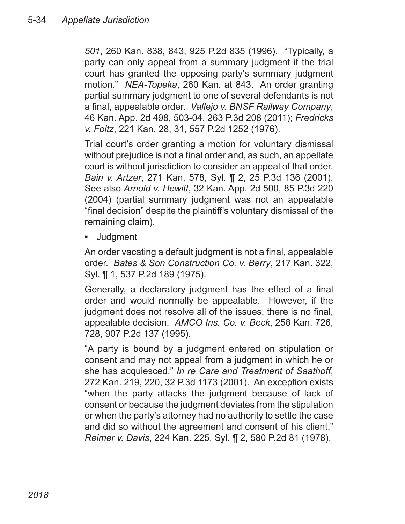*501*, 260 Kan. 838, 843, 925 P.2d 835 (1996). "Typically, a party can only appeal from a summary judgment if the trial court has granted the opposing party's summary judgment motion." *NEA-Topeka*, 260 Kan. at 843. An order granting partial summary judgment to one of several defendants is not a final, appealable order. *Vallejo v. BNSF Railway Company*, 46 Kan. App. 2d 498, 503-04, 263 P.3d 208 (2011); *Fredricks v. Foltz*, 221 Kan. 28, 31, 557 P.2d 1252 (1976).

Trial court's order granting a motion for voluntary dismissal without prejudice is not a final order and, as such, an appellate court is without jurisdiction to consider an appeal of that order. *Bain v. Artzer*, 271 Kan. 578, Syl. ¶ 2, 25 P.3d 136 (2001). See also *Arnold v. Hewitt*, 32 Kan. App. 2d 500, 85 P.3d 220 (2004) (partial summary judgment was not an appealable "final decision" despite the plaintiff's voluntary dismissal of the remaining claim).

**Judgment** ▪

An order vacating a default judgment is not a final, appealable order. *Bates & Son Construction Co. v. Berry*, 217 Kan. 322, Syl. ¶ 1, 537 P.2d 189 (1975).

Generally, a declaratory judgment has the effect of a final order and would normally be appealable. However, if the judgment does not resolve all of the issues, there is no final, appealable decision. *AMCO Ins. Co. v. Beck*, 258 Kan. 726, 728, 907 P.2d 137 (1995).

"A party is bound by a judgment entered on stipulation or consent and may not appeal from a judgment in which he or she has acquiesced." *In re Care and Treatment of Saathoff*, 272 Kan. 219, 220, 32 P.3d 1173 (2001). An exception exists "when the party attacks the judgment because of lack of consent or because the judgment deviates from the stipulation or when the party's attorney had no authority to settle the case and did so without the agreement and consent of his client." *Reimer v. Davis*, 224 Kan. 225, Syl. ¶ 2, 580 P.2d 81 (1978).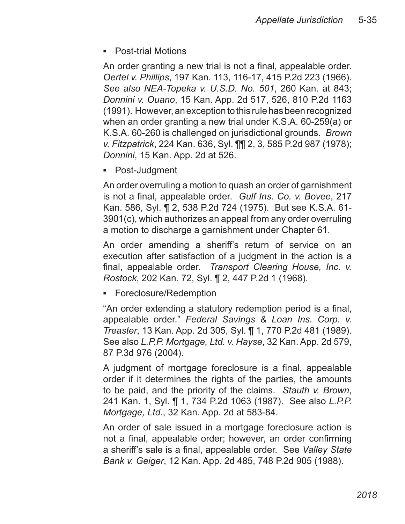■ Post-trial Motions

An order granting a new trial is not a final, appealable order. *Oertel v. Phillips*, 197 Kan. 113, 116-17, 415 P.2d 223 (1966). *See also NEA-Topeka v. U.S.D. No. 501*, 260 Kan. at 843; *Donnini v. Ouano*, 15 Kan. App. 2d 517, 526, 810 P.2d 1163 (1991). However, an exception to this rule has been recognized when an order granting a new trial under K.S.A. 60-259(a) or K.S.A. 60-260 is challenged on jurisdictional grounds. *Brown v. Fitzpatrick*, 224 Kan. 636, Syl. ¶¶ 2, 3, 585 P.2d 987 (1978); *Donnini*, 15 Kan. App. 2d at 526.

Post-Judgment ▪

An order overruling a motion to quash an order of garnishment is not a final, appealable order. *Gulf Ins. Co. v. Bovee*, 217 Kan. 586, Syl. ¶ 2, 538 P.2d 724 (1975). But see K.S.A. 61- 3901(c), which authorizes an appeal from any order overruling a motion to discharge a garnishment under Chapter 61.

An order amending a sheriff's return of service on an execution after satisfaction of a judgment in the action is a final, appealable order. *Transport Clearing House, Inc. v. Rostock*, 202 Kan. 72, Syl. ¶ 2, 447 P.2d 1 (1968).

■ Foreclosure/Redemption

"An order extending a statutory redemption period is a final, appealable order." *Federal Savings & Loan Ins. Corp. v. Treaster*, 13 Kan. App. 2d 305, Syl. ¶ 1, 770 P.2d 481 (1989). See also *L.P.P. Mortgage, Ltd. v. Hayse*, 32 Kan. App. 2d 579, 87 P.3d 976 (2004).

A judgment of mortgage foreclosure is a final, appealable order if it determines the rights of the parties, the amounts to be paid, and the priority of the claims. *Stauth v. Brown*, 241 Kan. 1, Syl. ¶ 1, 734 P.2d 1063 (1987). See also *L.P.P. Mortgage, Ltd.*, 32 Kan. App. 2d at 583-84.

An order of sale issued in a mortgage foreclosure action is not a final, appealable order; however, an order confirming a sheriff's sale is a final, appealable order. See *Valley State Bank v. Geiger*, 12 Kan. App. 2d 485, 748 P.2d 905 (1988).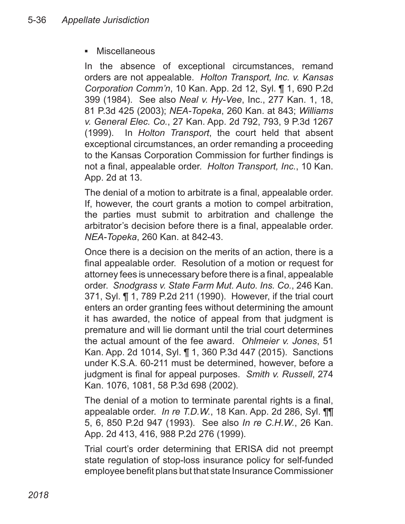#### **Miscellaneous** ▪

In the absence of exceptional circumstances, remand orders are not appealable. *Holton Transport, Inc. v. Kansas Corporation Comm'n*, 10 Kan. App. 2d 12, Syl. ¶ 1, 690 P.2d 399 (1984). See also *Neal v. Hy-Vee*, Inc., 277 Kan. 1, 18, 81 P.3d 425 (2003); *NEA-Topeka*, 260 Kan. at 843; *Williams v. General Elec. Co.*, 27 Kan. App. 2d 792, 793, 9 P.3d 1267 (1999). In *Holton Transport*, the court held that absent exceptional circumstances, an order remanding a proceeding to the Kansas Corporation Commission for further findings is not a final, appealable order. *Holton Transport, Inc.*, 10 Kan. App. 2d at 13.

The denial of a motion to arbitrate is a final, appealable order. If, however, the court grants a motion to compel arbitration, the parties must submit to arbitration and challenge the arbitrator's decision before there is a final, appealable order. *NEA-Topeka*, 260 Kan. at 842-43.

Once there is a decision on the merits of an action, there is a final appealable order. Resolution of a motion or request for attorney fees is unnecessary before there is a final, appealable order. *Snodgrass v. State Farm Mut. Auto. Ins. Co.*, 246 Kan. 371, Syl. ¶ 1, 789 P.2d 211 (1990). However, if the trial court enters an order granting fees without determining the amount it has awarded, the notice of appeal from that judgment is premature and will lie dormant until the trial court determines the actual amount of the fee award. *Ohlmeier v. Jones*, 51 Kan. App. 2d 1014, Syl. ¶ 1, 360 P.3d 447 (2015). Sanctions under K.S.A. 60-211 must be determined, however, before a judgment is final for appeal purposes. *Smith v. Russell*, 274 Kan. 1076, 1081, 58 P.3d 698 (2002).

The denial of a motion to terminate parental rights is a final, appealable order. *In re T.D.W.*, 18 Kan. App. 2d 286, Syl. ¶¶ 5, 6, 850 P.2d 947 (1993). See also *In re C.H.W.*, 26 Kan. App. 2d 413, 416, 988 P.2d 276 (1999).

Trial court's order determining that ERISA did not preempt state regulation of stop-loss insurance policy for self-funded employee benefit plans but that state Insurance Commissioner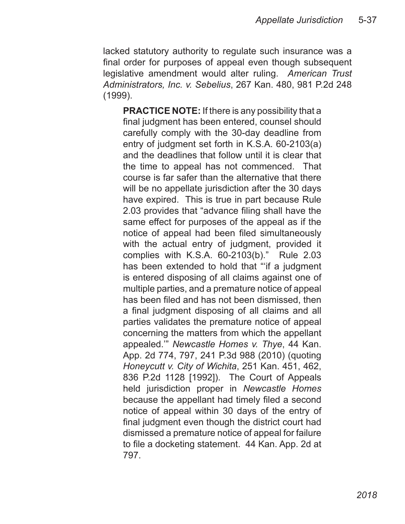lacked statutory authority to regulate such insurance was a final order for purposes of appeal even though subsequent legislative amendment would alter ruling. *American Trust Administrators, Inc. v. Sebelius*, 267 Kan. 480, 981 P.2d 248 (1999).

**PRACTICE NOTE:** If there is any possibility that a final judgment has been entered, counsel should carefully comply with the 30-day deadline from entry of judgment set forth in K.S.A. 60-2103(a) and the deadlines that follow until it is clear that the time to appeal has not commenced. That course is far safer than the alternative that there will be no appellate jurisdiction after the 30 days have expired. This is true in part because Rule 2.03 provides that "advance filing shall have the same effect for purposes of the appeal as if the notice of appeal had been filed simultaneously with the actual entry of judgment, provided it complies with K.S.A. 60-2103(b)." Rule 2.03 has been extended to hold that "'if a judgment is entered disposing of all claims against one of multiple parties, and a premature notice of appeal has been filed and has not been dismissed, then a final judgment disposing of all claims and all parties validates the premature notice of appeal concerning the matters from which the appellant appealed.'" *Newcastle Homes v. Thye*, 44 Kan. App. 2d 774, 797, 241 P.3d 988 (2010) (quoting *Honeycutt v. City of Wichita*, 251 Kan. 451, 462, 836 P.2d 1128 [1992]). The Court of Appeals held jurisdiction proper in *Newcastle Homes* because the appellant had timely filed a second notice of appeal within 30 days of the entry of final judgment even though the district court had dismissed a premature notice of appeal for failure to file a docketing statement. 44 Kan. App. 2d at 797.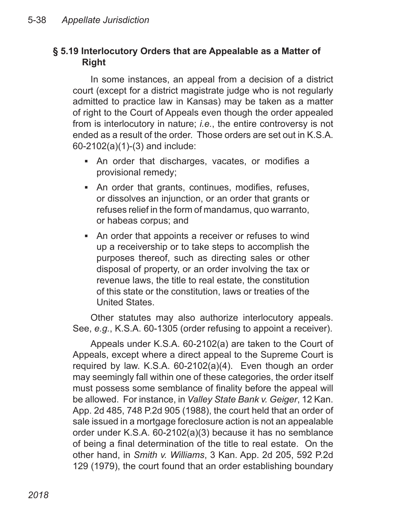## **§ 5.19 Interlocutory Orders that are Appealable as a Matter of Right**

In some instances, an appeal from a decision of a district court (except for a district magistrate judge who is not regularly admitted to practice law in Kansas) may be taken as a matter of right to the Court of Appeals even though the order appealed from is interlocutory in nature; *i.e.*, the entire controversy is not ended as a result of the order. Those orders are set out in K.S.A. 60-2102(a)(1)-(3) and include:

- An order that discharges, vacates, or modifies a provisional remedy;
- An order that grants, continues, modifies, refuses, or dissolves an injunction, or an order that grants or refuses relief in the form of mandamus, quo warranto, or habeas corpus; and
- An order that appoints a receiver or refuses to wind ▪up a receivership or to take steps to accomplish the purposes thereof, such as directing sales or other disposal of property, or an order involving the tax or revenue laws, the title to real estate, the constitution of this state or the constitution, laws or treaties of the United States.

Other statutes may also authorize interlocutory appeals. See, *e.g.*, K.S.A. 60-1305 (order refusing to appoint a receiver).

Appeals under K.S.A. 60-2102(a) are taken to the Court of Appeals, except where a direct appeal to the Supreme Court is required by law. K.S.A. 60-2102(a)(4). Even though an order may seemingly fall within one of these categories, the order itself must possess some semblance of finality before the appeal will be allowed. For instance, in *Valley State Bank v. Geiger*, 12 Kan. App. 2d 485, 748 P.2d 905 (1988), the court held that an order of sale issued in a mortgage foreclosure action is not an appealable order under K.S.A. 60-2102(a)(3) because it has no semblance of being a final determination of the title to real estate. On the other hand, in *Smith v. Williams*, 3 Kan. App. 2d 205, 592 P.2d 129 (1979), the court found that an order establishing boundary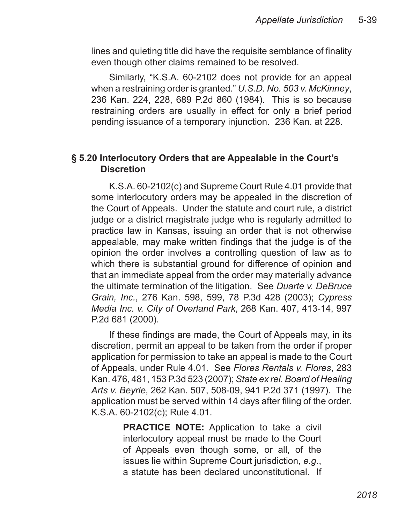lines and quieting title did have the requisite semblance of finality even though other claims remained to be resolved.

Similarly, "K.S.A. 60-2102 does not provide for an appeal when a restraining order is granted." *U.S.D. No. 503 v. McKinney*, 236 Kan. 224, 228, 689 P.2d 860 (1984). This is so because restraining orders are usually in effect for only a brief period pending issuance of a temporary injunction. 236 Kan. at 228.

#### **§ 5.20 Interlocutory Orders that are Appealable in the Court's Discretion**

K.S.A. 60-2102(c) and Supreme Court Rule 4.01 provide that some interlocutory orders may be appealed in the discretion of the Court of Appeals. Under the statute and court rule, a district judge or a district magistrate judge who is regularly admitted to practice law in Kansas, issuing an order that is not otherwise appealable, may make written findings that the judge is of the opinion the order involves a controlling question of law as to which there is substantial ground for difference of opinion and that an immediate appeal from the order may materially advance the ultimate termination of the litigation. See *Duarte v. DeBruce Grain, Inc.*, 276 Kan. 598, 599, 78 P.3d 428 (2003); *Cypress Media Inc. v. City of Overland Park*, 268 Kan. 407, 413-14, 997 P.2d 681 (2000).

If these findings are made, the Court of Appeals may, in its discretion, permit an appeal to be taken from the order if proper application for permission to take an appeal is made to the Court of Appeals, under Rule 4.01. See *Flores Rentals v. Flores*, 283 Kan. 476, 481, 153 P.3d 523 (2007); *State ex rel. Board of Healing Arts v. Beyrle*, 262 Kan. 507, 508-09, 941 P.2d 371 (1997). The application must be served within 14 days after filing of the order. K.S.A. 60-2102(c); Rule 4.01.

> **PRACTICE NOTE:** Application to take a civil interlocutory appeal must be made to the Court of Appeals even though some, or all, of the issues lie within Supreme Court jurisdiction, *e.g.*, a statute has been declared unconstitutional. If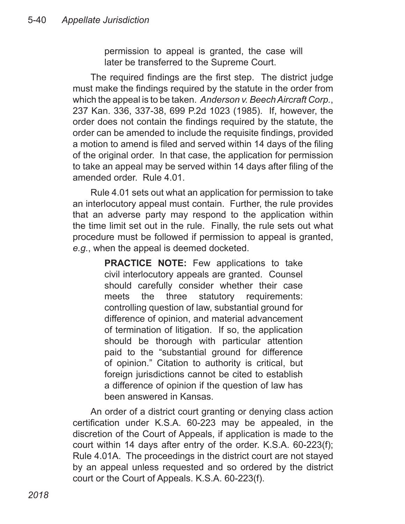permission to appeal is granted, the case will later be transferred to the Supreme Court.

The required findings are the first step. The district judge must make the findings required by the statute in the order from which the appeal is to be taken. *Anderson v. Beech Aircraft Corp.*, 237 Kan. 336, 337-38, 699 P.2d 1023 (1985). If, however, the order does not contain the findings required by the statute, the order can be amended to include the requisite findings, provided a motion to amend is filed and served within 14 days of the filing of the original order. In that case, the application for permission to take an appeal may be served within 14 days after filing of the amended order. Rule 4.01.

Rule 4.01 sets out what an application for permission to take an interlocutory appeal must contain. Further, the rule provides that an adverse party may respond to the application within the time limit set out in the rule. Finally, the rule sets out what procedure must be followed if permission to appeal is granted, *e.g.*, when the appeal is deemed docketed.

> **PRACTICE NOTE:** Few applications to take civil interlocutory appeals are granted. Counsel should carefully consider whether their case meets the three statutory requirements: controlling question of law, substantial ground for difference of opinion, and material advancement of termination of litigation. If so, the application should be thorough with particular attention paid to the "substantial ground for difference of opinion." Citation to authority is critical, but foreign jurisdictions cannot be cited to establish a difference of opinion if the question of law has been answered in Kansas.

An order of a district court granting or denying class action certification under K.S.A. 60-223 may be appealed, in the discretion of the Court of Appeals, if application is made to the court within 14 days after entry of the order. K.S.A. 60-223(f); Rule 4.01A. The proceedings in the district court are not stayed by an appeal unless requested and so ordered by the district court or the Court of Appeals. K.S.A. 60-223(f).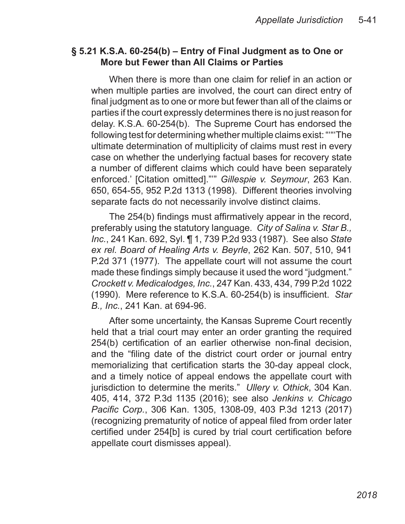#### **§ 5.21 K.S.A. 60-254(b) – Entry of Final Judgment as to One or More but Fewer than All Claims or Parties**

When there is more than one claim for relief in an action or when multiple parties are involved, the court can direct entry of final judgment as to one or more but fewer than all of the claims or parties if the court expressly determines there is no just reason for delay. K.S.A. 60-254(b). The Supreme Court has endorsed the following test for determining whether multiple claims exist: "'"'The ultimate determination of multiplicity of claims must rest in every case on whether the underlying factual bases for recovery state a number of different claims which could have been separately enforced.' [Citation omitted]."'" *Gillespie v. Seymour*, 263 Kan. 650, 654-55, 952 P.2d 1313 (1998). Different theories involving separate facts do not necessarily involve distinct claims.

The 254(b) findings must affirmatively appear in the record, preferably using the statutory language. *City of Salina v. Star B., Inc.*, 241 Kan. 692, Syl. ¶ 1, 739 P.2d 933 (1987). See also *State ex rel. Board of Healing Arts v. Beyrle*, 262 Kan. 507, 510, 941 P.2d 371 (1977). The appellate court will not assume the court made these findings simply because it used the word "judgment." *Crockett v. Medicalodges, Inc.*, 247 Kan. 433, 434, 799 P.2d 1022 (1990). Mere reference to K.S.A. 60-254(b) is insufficient. *Star B., Inc.*, 241 Kan. at 694-96.

After some uncertainty, the Kansas Supreme Court recently held that a trial court may enter an order granting the required 254(b) certification of an earlier otherwise non-final decision, and the "filing date of the district court order or journal entry memorializing that certification starts the 30-day appeal clock, and a timely notice of appeal endows the appellate court with jurisdiction to determine the merits." *Ullery v. Othick*, 304 Kan. 405, 414, 372 P.3d 1135 (2016); see also *Jenkins v. Chicago Pacific Corp.*, 306 Kan. 1305, 1308-09, 403 P.3d 1213 (2017) (recognizing prematurity of notice of appeal filed from order later certified under 254[b] is cured by trial court certification before appellate court dismisses appeal).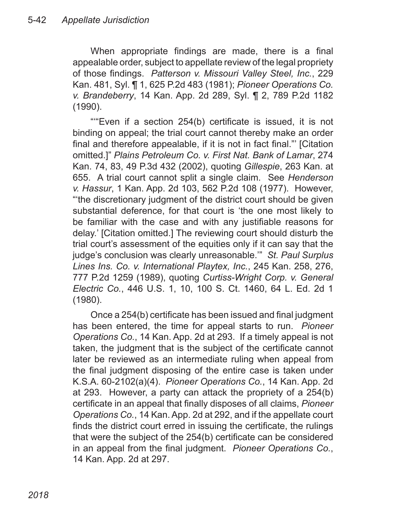When appropriate findings are made, there is a final appealable order, subject to appellate review of the legal propriety of those findings. *Patterson v. Missouri Valley Steel, Inc.*, 229 Kan. 481, Syl. ¶ 1, 625 P.2d 483 (1981); *Pioneer Operations Co. v. Brandeberry*, 14 Kan. App. 2d 289, Syl. ¶ 2, 789 P.2d 1182 (1990).

""Even if a section 254(b) certificate is issued, it is not binding on appeal; the trial court cannot thereby make an order final and therefore appealable, if it is not in fact final."' [Citation omitted.]" *Plains Petroleum Co. v. First Nat. Bank of Lamar*, 274 Kan. 74, 83, 49 P.3d 432 (2002), quoting *Gillespie*, 263 Kan. at 655. A trial court cannot split a single claim. See *Henderson v. Hassur*, 1 Kan. App. 2d 103, 562 P.2d 108 (1977). However, "'the discretionary judgment of the district court should be given substantial deference, for that court is 'the one most likely to be familiar with the case and with any justifiable reasons for delay.' [Citation omitted.] The reviewing court should disturb the trial court's assessment of the equities only if it can say that the judge's conclusion was clearly unreasonable.'" *St. Paul Surplus Lines Ins. Co. v. International Playtex, Inc.*, 245 Kan. 258, 276, 777 P.2d 1259 (1989), quoting *Curtiss-Wright Corp. v. General Electric Co.*, 446 U.S. 1, 10, 100 S. Ct. 1460, 64 L. Ed. 2d 1 (1980).

Once a 254(b) certificate has been issued and final judgment has been entered, the time for appeal starts to run. *Pioneer Operations Co.*, 14 Kan. App. 2d at 293. If a timely appeal is not taken, the judgment that is the subject of the certificate cannot later be reviewed as an intermediate ruling when appeal from the final judgment disposing of the entire case is taken under K.S.A. 60-2102(a)(4). *Pioneer Operations Co.*, 14 Kan. App. 2d at 293. However, a party can attack the propriety of a 254(b) certificate in an appeal that finally disposes of all claims, *Pioneer Operations Co.*, 14 Kan. App. 2d at 292, and if the appellate court finds the district court erred in issuing the certificate, the rulings that were the subject of the 254(b) certificate can be considered in an appeal from the final judgment. *Pioneer Operations Co.*, 14 Kan. App. 2d at 297.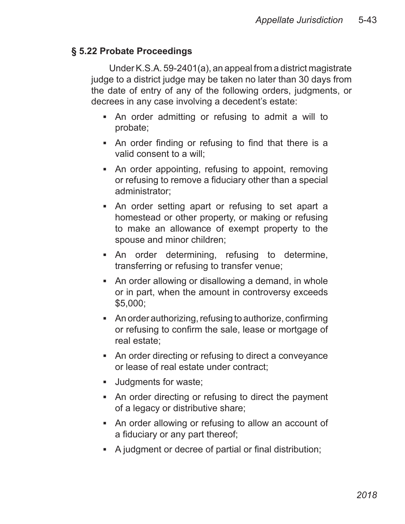#### **§ 5.22 Probate Proceedings**

Under K.S.A. 59-2401(a), an appeal from a district magistrate judge to a district judge may be taken no later than 30 days from the date of entry of any of the following orders, judgments, or decrees in any case involving a decedent's estate:

- An order admitting or refusing to admit a will to probate;
- An order finding or refusing to find that there is a valid consent to a will;
- An order appointing, refusing to appoint, removing or refusing to remove a fiduciary other than a special administrator;
- An order setting apart or refusing to set apart a homestead or other property, or making or refusing to make an allowance of exempt property to the spouse and minor children;
- An order determining, refusing to determine, transferring or refusing to transfer venue;
- An order allowing or disallowing a demand, in whole or in part, when the amount in controversy exceeds \$5,000;
- An order authorizing, refusing to authorize, confirming or refusing to confirm the sale, lease or mortgage of real estate;
- An order directing or refusing to direct a conveyance or lease of real estate under contract;
- Judgments for waste;
- An order directing or refusing to direct the payment of a legacy or distributive share;
- An order allowing or refusing to allow an account of a fiduciary or any part thereof;
- A judgment or decree of partial or final distribution;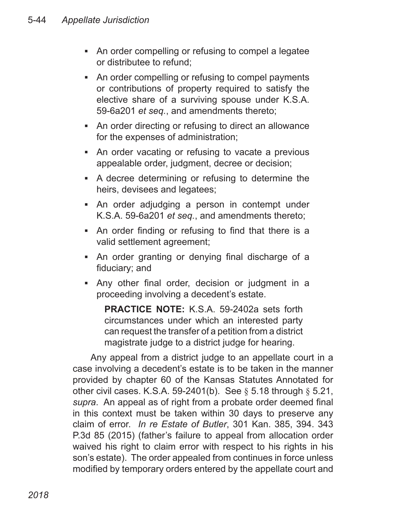- An order compelling or refusing to compel a legatee or distributee to refund;
- An order compelling or refusing to compel payments or contributions of property required to satisfy the elective share of a surviving spouse under K.S.A. 59-6a201 *et seq.*, and amendments thereto;
- An order directing or refusing to direct an allowance for the expenses of administration;
- An order vacating or refusing to vacate a previous appealable order, judgment, decree or decision;
- **A decree determining or refusing to determine the** heirs, devisees and legatees;
- An order adjudging a person in contempt under K.S.A. 59-6a201 *et seq.*, and amendments thereto;
- An order finding or refusing to find that there is a valid settlement agreement;
- An order granting or denying final discharge of a fiduciary; and
- Any other final order, decision or judgment in a ▪proceeding involving a decedent's estate.

**PRACTICE NOTE:** K.S.A. 59-2402a sets forth circumstances under which an interested party can request the transfer of a petition from a district magistrate judge to a district judge for hearing.

Any appeal from a district judge to an appellate court in a case involving a decedent's estate is to be taken in the manner provided by chapter 60 of the Kansas Statutes Annotated for other civil cases. K.S.A. 59-2401(b). See  $\S$  5.18 through  $\S$  5.21, *supra*. An appeal as of right from a probate order deemed final in this context must be taken within 30 days to preserve any claim of error. *In re Estate of Butler*, 301 Kan. 385, 394. 343 P.3d 85 (2015) (father's failure to appeal from allocation order waived his right to claim error with respect to his rights in his son's estate). The order appealed from continues in force unless modified by temporary orders entered by the appellate court and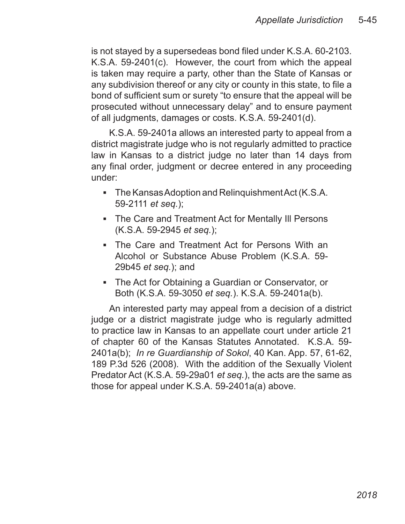is not stayed by a supersedeas bond filed under K.S.A. 60-2103. K.S.A. 59-2401(c). However, the court from which the appeal is taken may require a party, other than the State of Kansas or any subdivision thereof or any city or county in this state, to file a bond of sufficient sum or surety "to ensure that the appeal will be prosecuted without unnecessary delay" and to ensure payment of all judgments, damages or costs. K.S.A. 59-2401(d).

K.S.A. 59-2401a allows an interested party to appeal from a district magistrate judge who is not regularly admitted to practice law in Kansas to a district judge no later than 14 days from any final order, judgment or decree entered in any proceeding under:

- The Kansas Adoption and Relinquishment Act (K.S.A. 59-2111 *et seq.*);
- The Care and Treatment Act for Mentally III Persons (K.S.A. 59-2945 *et seq.*);
- The Care and Treatment Act for Persons With an Alcohol or Substance Abuse Problem (K.S.A. 59- 29b45 *et seq.*); and
- The Act for Obtaining a Guardian or Conservator, or ▪Both (K.S.A. 59-3050 *et seq.*). K.S.A. 59-2401a(b).

An interested party may appeal from a decision of a district judge or a district magistrate judge who is regularly admitted to practice law in Kansas to an appellate court under article 21 of chapter 60 of the Kansas Statutes Annotated. K.S.A. 59- 2401a(b); *In re Guardianship of Sokol*, 40 Kan. App. 57, 61-62, 189 P.3d 526 (2008). With the addition of the Sexually Violent Predator Act (K.S.A. 59-29a01 *et seq.*), the acts are the same as those for appeal under K.S.A. 59-2401a(a) above.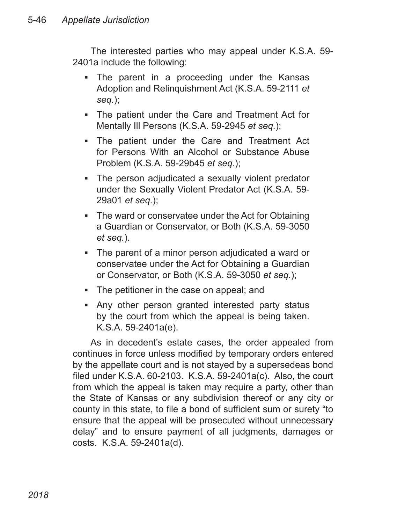The interested parties who may appeal under K.S.A. 59- 2401a include the following:

- The parent in a proceeding under the Kansas Adoption and Relinquishment Act (K.S.A. 59-2111 *et seq.*);
- The patient under the Care and Treatment Act for Mentally Ill Persons (K.S.A. 59-2945 *et seq.*);
- The patient under the Care and Treatment Act for Persons With an Alcohol or Substance Abuse Problem (K.S.A. 59-29b45 *et seq.*);
- The person adjudicated a sexually violent predator under the Sexually Violent Predator Act (K.S.A. 59- 29a01 *et seq.*);
- The ward or conservatee under the Act for Obtaining a Guardian or Conservator, or Both (K.S.A. 59-3050 *et seq.*).
- The parent of a minor person adjudicated a ward or conservatee under the Act for Obtaining a Guardian or Conservator, or Both (K.S.A. 59-3050 *et seq.*);
- The petitioner in the case on appeal; and
- Any other person granted interested party status ▪by the court from which the appeal is being taken. K.S.A. 59-2401a(e).

As in decedent's estate cases, the order appealed from continues in force unless modified by temporary orders entered by the appellate court and is not stayed by a supersedeas bond filed under K.S.A. 60-2103. K.S.A. 59-2401a(c). Also, the court from which the appeal is taken may require a party, other than the State of Kansas or any subdivision thereof or any city or county in this state, to file a bond of sufficient sum or surety "to ensure that the appeal will be prosecuted without unnecessary delay" and to ensure payment of all judgments, damages or costs. K.S.A. 59-2401a(d).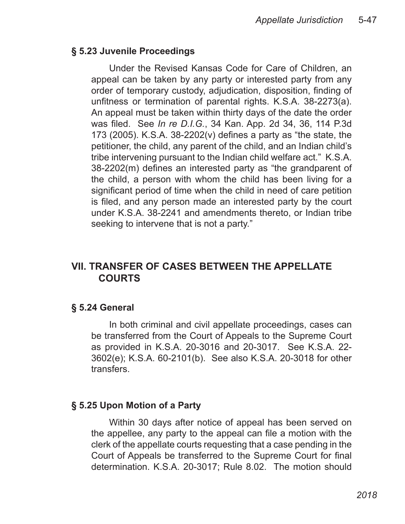#### **§ 5.23 Juvenile Proceedings**

Under the Revised Kansas Code for Care of Children, an appeal can be taken by any party or interested party from any order of temporary custody, adjudication, disposition, finding of unfitness or termination of parental rights. K.S.A. 38-2273(a). An appeal must be taken within thirty days of the date the order was filed. See *In re D.I.G.*, 34 Kan. App. 2d 34, 36, 114 P.3d 173 (2005). K.S.A. 38-2202(v) defines a party as "the state, the petitioner, the child, any parent of the child, and an Indian child's tribe intervening pursuant to the Indian child welfare act." K.S.A. 38-2202(m) defines an interested party as "the grandparent of the child, a person with whom the child has been living for a significant period of time when the child in need of care petition is filed, and any person made an interested party by the court under K.S.A. 38-2241 and amendments thereto, or Indian tribe seeking to intervene that is not a party."

# **VII. TRANSFER OF CASES BETWEEN THE APPELLATE COURTS**

#### **§ 5.24 General**

In both criminal and civil appellate proceedings, cases can be transferred from the Court of Appeals to the Supreme Court as provided in K.S.A. 20-3016 and 20-3017. See K.S.A. 22- 3602(e); K.S.A. 60-2101(b). See also K.S.A. 20-3018 for other transfers.

#### **§ 5.25 Upon Motion of a Party**

Within 30 days after notice of appeal has been served on the appellee, any party to the appeal can file a motion with the clerk of the appellate courts requesting that a case pending in the Court of Appeals be transferred to the Supreme Court for final determination. K.S.A. 20-3017; Rule 8.02. The motion should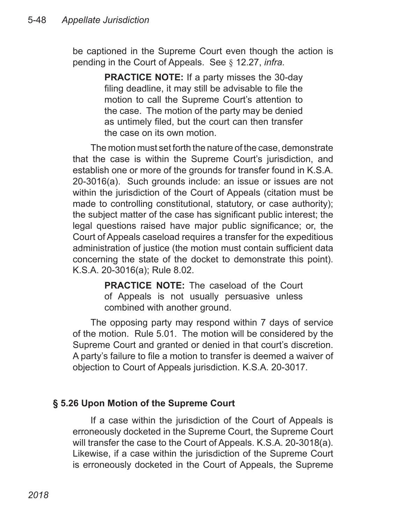be captioned in the Supreme Court even though the action is pending in the Court of Appeals. See § 12.27, *infra.*

> **PRACTICE NOTE:** If a party misses the 30-day filing deadline, it may still be advisable to file the motion to call the Supreme Court's attention to the case. The motion of the party may be denied as untimely filed, but the court can then transfer the case on its own motion.

The motion must set forth the nature of the case, demonstrate that the case is within the Supreme Court's jurisdiction, and establish one or more of the grounds for transfer found in K.S.A. 20-3016(a). Such grounds include: an issue or issues are not within the jurisdiction of the Court of Appeals (citation must be made to controlling constitutional, statutory, or case authority); the subject matter of the case has significant public interest; the legal questions raised have major public significance; or, the Court of Appeals caseload requires a transfer for the expeditious administration of justice (the motion must contain sufficient data concerning the state of the docket to demonstrate this point). K.S.A. 20-3016(a); Rule 8.02.

> **PRACTICE NOTE:** The caseload of the Court of Appeals is not usually persuasive unless combined with another ground.

The opposing party may respond within 7 days of service of the motion. Rule 5.01. The motion will be considered by the Supreme Court and granted or denied in that court's discretion. A party's failure to file a motion to transfer is deemed a waiver of objection to Court of Appeals jurisdiction. K.S.A. 20-3017.

### **§ 5.26 Upon Motion of the Supreme Court**

If a case within the jurisdiction of the Court of Appeals is erroneously docketed in the Supreme Court, the Supreme Court will transfer the case to the Court of Appeals. K.S.A. 20-3018(a). Likewise, if a case within the jurisdiction of the Supreme Court is erroneously docketed in the Court of Appeals, the Supreme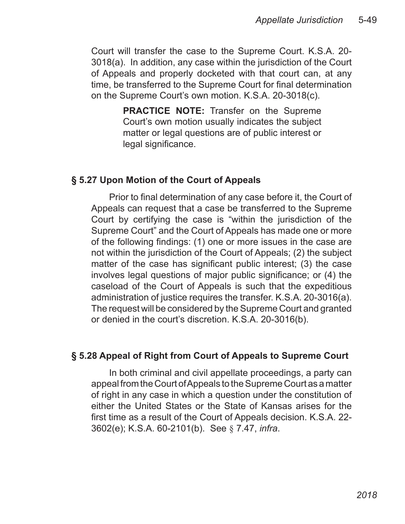Court will transfer the case to the Supreme Court. K.S.A. 20- 3018(a). In addition, any case within the jurisdiction of the Court of Appeals and properly docketed with that court can, at any time, be transferred to the Supreme Court for final determination on the Supreme Court's own motion. K.S.A. 20-3018(c).

> **PRACTICE NOTE:** Transfer on the Supreme Court's own motion usually indicates the subject matter or legal questions are of public interest or legal significance.

#### **§ 5.27 Upon Motion of the Court of Appeals**

Prior to final determination of any case before it, the Court of Appeals can request that a case be transferred to the Supreme Court by certifying the case is "within the jurisdiction of the Supreme Court" and the Court of Appeals has made one or more of the following findings: (1) one or more issues in the case are not within the jurisdiction of the Court of Appeals; (2) the subject matter of the case has significant public interest; (3) the case involves legal questions of major public significance; or (4) the caseload of the Court of Appeals is such that the expeditious administration of justice requires the transfer. K.S.A. 20-3016(a). The request will be considered by the Supreme Court and granted or denied in the court's discretion. K.S.A. 20-3016(b).

#### **§ 5.28 Appeal of Right from Court of Appeals to Supreme Court**

In both criminal and civil appellate proceedings, a party can appeal from the Court of Appeals to the Supreme Court as a matter of right in any case in which a question under the constitution of either the United States or the State of Kansas arises for the first time as a result of the Court of Appeals decision. K.S.A. 22- 3602(e); K.S.A. 60-2101(b). See § 7.47, *infra*.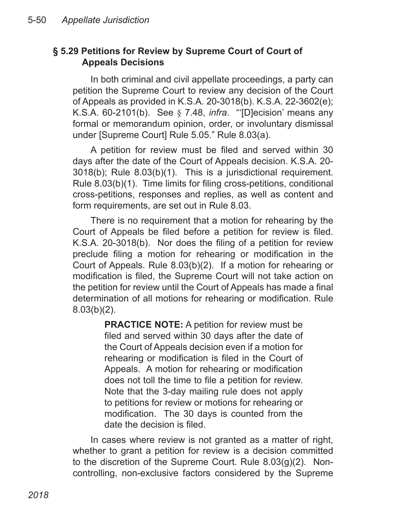#### **§ 5.29 Petitions for Review by Supreme Court of Court of Appeals Decisions**

In both criminal and civil appellate proceedings, a party can petition the Supreme Court to review any decision of the Court of Appeals as provided in K.S.A. 20-3018(b). K.S.A. 22-3602(e); K.S.A. 60-2101(b). See § 7.48, *infra*. "'[D]ecision' means any formal or memorandum opinion, order, or involuntary dismissal under [Supreme Court] Rule 5.05." Rule 8.03(a).

A petition for review must be filed and served within 30 days after the date of the Court of Appeals decision. K.S.A. 20- 3018(b); Rule 8.03(b)(1). This is a jurisdictional requirement. Rule 8.03(b)(1). Time limits for filing cross-petitions, conditional cross-petitions, responses and replies, as well as content and form requirements, are set out in Rule 8.03.

There is no requirement that a motion for rehearing by the Court of Appeals be filed before a petition for review is filed. K.S.A. 20-3018(b). Nor does the filing of a petition for review preclude filing a motion for rehearing or modification in the Court of Appeals. Rule 8.03(b)(2). If a motion for rehearing or modification is filed, the Supreme Court will not take action on the petition for review until the Court of Appeals has made a final determination of all motions for rehearing or modification. Rule 8.03(b)(2).

> **PRACTICE NOTE:** A petition for review must be filed and served within 30 days after the date of the Court of Appeals decision even if a motion for rehearing or modification is filed in the Court of Appeals. A motion for rehearing or modification does not toll the time to file a petition for review. Note that the 3-day mailing rule does not apply to petitions for review or motions for rehearing or modification. The 30 days is counted from the date the decision is filed.

In cases where review is not granted as a matter of right, whether to grant a petition for review is a decision committed to the discretion of the Supreme Court. Rule 8.03(g)(2). Noncontrolling, non-exclusive factors considered by the Supreme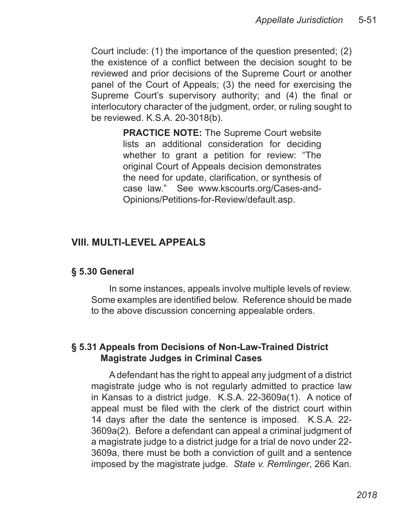Court include: (1) the importance of the question presented; (2) the existence of a conflict between the decision sought to be reviewed and prior decisions of the Supreme Court or another panel of the Court of Appeals; (3) the need for exercising the Supreme Court's supervisory authority; and (4) the final or interlocutory character of the judgment, order, or ruling sought to be reviewed. K.S.A. 20-3018(b).

> **PRACTICE NOTE:** The Supreme Court website lists an additional consideration for deciding whether to grant a petition for review: "The original Court of Appeals decision demonstrates the need for update, clarification, or synthesis of case law." See www.kscourts.org/Cases-and-Opinions/Petitions-for-Review/default.asp.

### **VIII. MULTI-LEVEL APPEALS**

#### **§ 5.30 General**

In some instances, appeals involve multiple levels of review. Some examples are identified below. Reference should be made to the above discussion concerning appealable orders.

#### **§ 5.31 Appeals from Decisions of Non-Law-Trained District Magistrate Judges in Criminal Cases**

A defendant has the right to appeal any judgment of a district magistrate judge who is not regularly admitted to practice law in Kansas to a district judge. K.S.A. 22-3609a(1). A notice of appeal must be filed with the clerk of the district court within 14 days after the date the sentence is imposed. K.S.A. 22- 3609a(2). Before a defendant can appeal a criminal judgment of a magistrate judge to a district judge for a trial de novo under 22- 3609a, there must be both a conviction of guilt and a sentence imposed by the magistrate judge. *State v. Remlinger*, 266 Kan.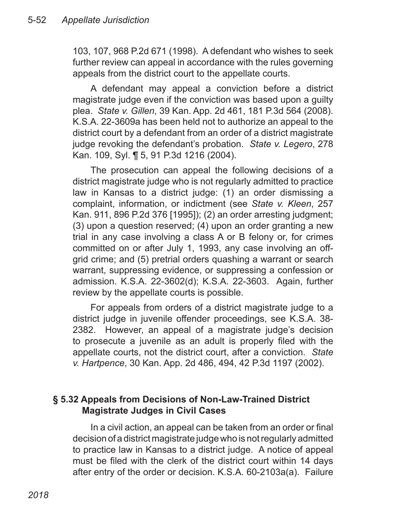103, 107, 968 P.2d 671 (1998). A defendant who wishes to seek further review can appeal in accordance with the rules governing appeals from the district court to the appellate courts.

A defendant may appeal a conviction before a district magistrate judge even if the conviction was based upon a guilty plea. *State v. Gillen*, 39 Kan. App. 2d 461, 181 P.3d 564 (2008). K.S.A. 22-3609a has been held not to authorize an appeal to the district court by a defendant from an order of a district magistrate judge revoking the defendant's probation. *State v. Legero*, 278 Kan. 109, Syl. ¶ 5, 91 P.3d 1216 (2004).

The prosecution can appeal the following decisions of a district magistrate judge who is not regularly admitted to practice law in Kansas to a district judge: (1) an order dismissing a complaint, information, or indictment (see *State v. Kleen*, 257 Kan. 911, 896 P.2d 376 [1995]); (2) an order arresting judgment; (3) upon a question reserved; (4) upon an order granting a new trial in any case involving a class A or B felony or, for crimes committed on or after July 1, 1993, any case involving an offgrid crime; and (5) pretrial orders quashing a warrant or search warrant, suppressing evidence, or suppressing a confession or admission. K.S.A. 22-3602(d); K.S.A. 22-3603. Again, further review by the appellate courts is possible.

For appeals from orders of a district magistrate judge to a district judge in juvenile offender proceedings, see K.S.A. 38- 2382. However, an appeal of a magistrate judge's decision to prosecute a juvenile as an adult is properly filed with the appellate courts, not the district court, after a conviction. *State v. Hartpence*, 30 Kan. App. 2d 486, 494, 42 P.3d 1197 (2002).

### **§ 5.32 Appeals from Decisions of Non-Law-Trained District Magistrate Judges in Civil Cases**

In a civil action, an appeal can be taken from an order or final decision of a district magistrate judge who is not regularly admitted to practice law in Kansas to a district judge. A notice of appeal must be filed with the clerk of the district court within 14 days after entry of the order or decision. K.S.A. 60-2103a(a). Failure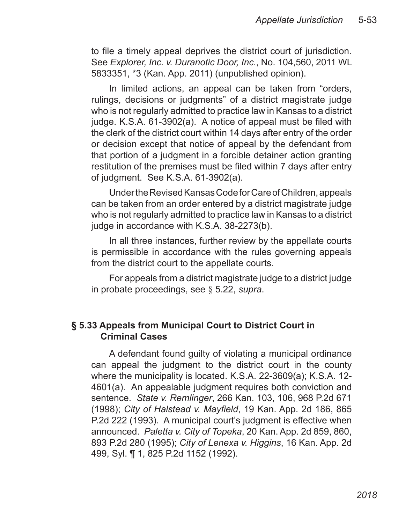to file a timely appeal deprives the district court of jurisdiction. See *Explorer, Inc. v. Duranotic Door, Inc.*, No. 104,560, 2011 WL 5833351, \*3 (Kan. App. 2011) (unpublished opinion).

In limited actions, an appeal can be taken from "orders, rulings, decisions or judgments" of a district magistrate judge who is not regularly admitted to practice law in Kansas to a district judge. K.S.A. 61-3902(a). A notice of appeal must be filed with the clerk of the district court within 14 days after entry of the order or decision except that notice of appeal by the defendant from that portion of a judgment in a forcible detainer action granting restitution of the premises must be filed within 7 days after entry of judgment. See K.S.A. 61-3902(a).

Under the Revised Kansas Code for Care of Children, appeals can be taken from an order entered by a district magistrate judge who is not regularly admitted to practice law in Kansas to a district judge in accordance with K.S.A. 38-2273(b).

In all three instances, further review by the appellate courts is permissible in accordance with the rules governing appeals from the district court to the appellate courts.

For appeals from a district magistrate judge to a district judge in probate proceedings, see § 5.22, *supra*.

#### **§ 5.33 Appeals from Municipal Court to District Court in Criminal Cases**

A defendant found guilty of violating a municipal ordinance can appeal the judgment to the district court in the county where the municipality is located. K.S.A. 22-3609(a); K.S.A. 12- 4601(a). An appealable judgment requires both conviction and sentence. *State v. Remlinger*, 266 Kan. 103, 106, 968 P.2d 671 (1998); *City of Halstead v. Mayfield*, 19 Kan. App. 2d 186, 865 P.2d 222 (1993). A municipal court's judgment is effective when announced. *Paletta v. City of Topeka*, 20 Kan. App. 2d 859, 860, 893 P.2d 280 (1995); *City of Lenexa v. Higgins*, 16 Kan. App. 2d 499, Syl. ¶ 1, 825 P.2d 1152 (1992).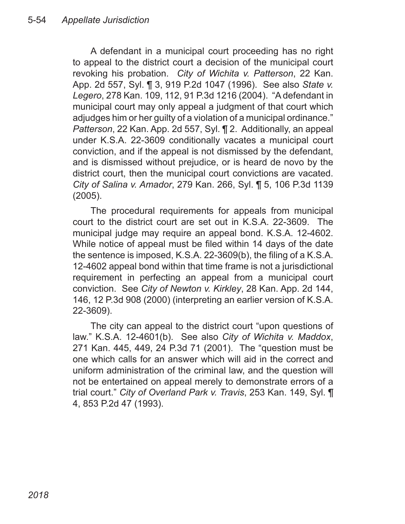A defendant in a municipal court proceeding has no right to appeal to the district court a decision of the municipal court revoking his probation. *City of Wichita v. Patterson*, 22 Kan. App. 2d 557, Syl. ¶ 3, 919 P.2d 1047 (1996). See also *State v. Legero*, 278 Kan. 109, 112, 91 P.3d 1216 (2004). "A defendant in municipal court may only appeal a judgment of that court which adjudges him or her guilty of a violation of a municipal ordinance." *Patterson*, 22 Kan. App. 2d 557, Syl. ¶ 2. Additionally, an appeal under K.S.A. 22-3609 conditionally vacates a municipal court conviction, and if the appeal is not dismissed by the defendant, and is dismissed without prejudice, or is heard de novo by the district court, then the municipal court convictions are vacated. *City of Salina v. Amador*, 279 Kan. 266, Syl. ¶ 5, 106 P.3d 1139 (2005).

The procedural requirements for appeals from municipal court to the district court are set out in K.S.A. 22-3609. The municipal judge may require an appeal bond. K.S.A. 12-4602. While notice of appeal must be filed within 14 days of the date the sentence is imposed, K.S.A. 22-3609(b), the filing of a K.S.A. 12-4602 appeal bond within that time frame is not a jurisdictional requirement in perfecting an appeal from a municipal court conviction. See *City of Newton v. Kirkley*, 28 Kan. App. 2d 144, 146, 12 P.3d 908 (2000) (interpreting an earlier version of K.S.A. 22-3609).

The city can appeal to the district court "upon questions of law." K.S.A. 12-4601(b). See also *City of Wichita v. Maddox*, 271 Kan. 445, 449, 24 P.3d 71 (2001). The "question must be one which calls for an answer which will aid in the correct and uniform administration of the criminal law, and the question will not be entertained on appeal merely to demonstrate errors of a trial court." *City of Overland Park v. Travis*, 253 Kan. 149, Syl. ¶ 4, 853 P.2d 47 (1993).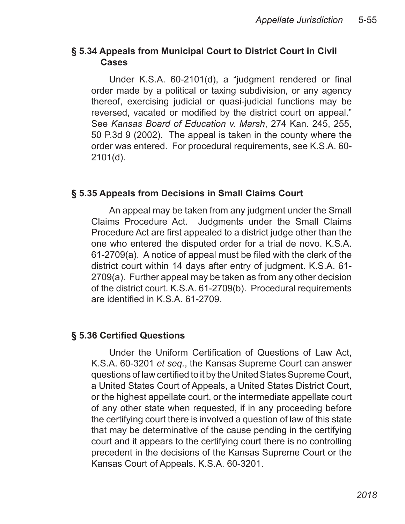#### **§ 5.34 Appeals from Municipal Court to District Court in Civil Cases**

Under K.S.A. 60-2101(d), a "judgment rendered or final order made by a political or taxing subdivision, or any agency thereof, exercising judicial or quasi-judicial functions may be reversed, vacated or modified by the district court on appeal." See *Kansas Board of Education v. Marsh*, 274 Kan. 245, 255, 50 P.3d 9 (2002). The appeal is taken in the county where the order was entered. For procedural requirements, see K.S.A. 60- 2101(d).

# **§ 5.35 Appeals from Decisions in Small Claims Court**

An appeal may be taken from any judgment under the Small Claims Procedure Act. Judgments under the Small Claims Procedure Act are first appealed to a district judge other than the one who entered the disputed order for a trial de novo. K.S.A. 61-2709(a). A notice of appeal must be filed with the clerk of the district court within 14 days after entry of judgment. K.S.A. 61- 2709(a). Further appeal may be taken as from any other decision of the district court. K.S.A. 61-2709(b). Procedural requirements are identified in K.S.A. 61-2709.

### **§ 5.36 Certified Questions**

Under the Uniform Certification of Questions of Law Act, K.S.A. 60-3201 *et seq.*, the Kansas Supreme Court can answer questions of law certified to it by the United States Supreme Court, a United States Court of Appeals, a United States District Court, or the highest appellate court, or the intermediate appellate court of any other state when requested, if in any proceeding before the certifying court there is involved a question of law of this state that may be determinative of the cause pending in the certifying court and it appears to the certifying court there is no controlling precedent in the decisions of the Kansas Supreme Court or the Kansas Court of Appeals. K.S.A. 60-3201.